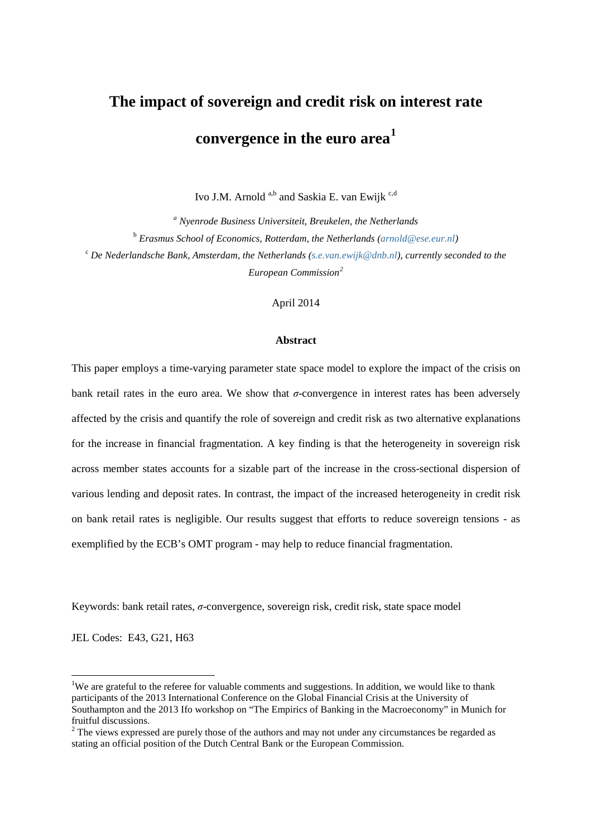# **The impact of sovereign and credit risk on interest rate convergence in the euro area[1](#page-0-0)**

Ivo J.M. Arnold <sup>a,b</sup> and Saskia E. van Ewijk <sup>c,d</sup>

*<sup>a</sup> Nyenrode Business Universiteit, Breukelen, the Netherlands* <sup>b</sup> *Erasmus School of Economics, Rotterdam, the Netherlands [\(arnold@ese.eur.nl\)](mailto:arnold@ese.eur.nl)*  <sup>c</sup> *De Nederlandsche Bank, Amsterdam, the Netherlands [\(s.e.van.ewijk@dnb.nl\)](mailto:s.e.van.ewijk@dnb.nl), currently seconded to the European Commission[2](#page-0-1)*

April 2014

#### **Abstract**

This paper employs a time-varying parameter state space model to explore the impact of the crisis on bank retail rates in the euro area. We show that *σ*-convergence in interest rates has been adversely affected by the crisis and quantify the role of sovereign and credit risk as two alternative explanations for the increase in financial fragmentation. A key finding is that the heterogeneity in sovereign risk across member states accounts for a sizable part of the increase in the cross-sectional dispersion of various lending and deposit rates. In contrast, the impact of the increased heterogeneity in credit risk on bank retail rates is negligible. Our results suggest that efforts to reduce sovereign tensions - as exemplified by the ECB's OMT program - may help to reduce financial fragmentation.

Keywords: bank retail rates, *σ*-convergence, sovereign risk, credit risk, state space model

JEL Codes: E43, G21, H63

<span id="page-0-0"></span> $\frac{1}{1}$ <sup>1</sup>We are grateful to the referee for valuable comments and suggestions. In addition, we would like to thank participants of the 2013 International Conference on the Global Financial Crisis at the University of Southampton and the 2013 Ifo workshop on "The Empirics of Banking in the Macroeconomy" in Munich for fruitful discussions.

<span id="page-0-1"></span><sup>&</sup>lt;sup>2</sup> The views expressed are purely those of the authors and may not under any circumstances be regarded as stating an official position of the Dutch Central Bank or the European Commission.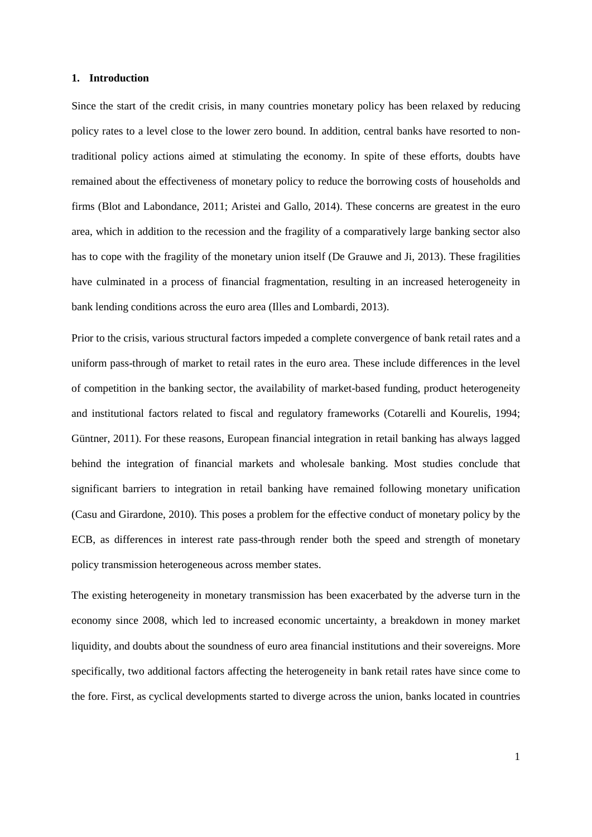#### **1. Introduction**

Since the start of the credit crisis, in many countries monetary policy has been relaxed by reducing policy rates to a level close to the lower zero bound. In addition, central banks have resorted to nontraditional policy actions aimed at stimulating the economy. In spite of these efforts, doubts have remained about the effectiveness of monetary policy to reduce the borrowing costs of households and firms (Blot and Labondance, 2011; Aristei and Gallo, 2014). These concerns are greatest in the euro area, which in addition to the recession and the fragility of a comparatively large banking sector also has to cope with the fragility of the monetary union itself (De Grauwe and Ji, 2013). These fragilities have culminated in a process of financial fragmentation, resulting in an increased heterogeneity in bank lending conditions across the euro area (Illes and Lombardi, 2013).

Prior to the crisis, various structural factors impeded a complete convergence of bank retail rates and a uniform pass-through of market to retail rates in the euro area. These include differences in the level of competition in the banking sector, the availability of market-based funding, product heterogeneity and institutional factors related to fiscal and regulatory frameworks (Cotarelli and Kourelis, 1994; Güntner, 2011). For these reasons, European financial integration in retail banking has always lagged behind the integration of financial markets and wholesale banking. Most studies conclude that significant barriers to integration in retail banking have remained following monetary unification (Casu and Girardone, 2010). This poses a problem for the effective conduct of monetary policy by the ECB, as differences in interest rate pass-through render both the speed and strength of monetary policy transmission heterogeneous across member states.

The existing heterogeneity in monetary transmission has been exacerbated by the adverse turn in the economy since 2008, which led to increased economic uncertainty, a breakdown in money market liquidity, and doubts about the soundness of euro area financial institutions and their sovereigns. More specifically, two additional factors affecting the heterogeneity in bank retail rates have since come to the fore. First, as cyclical developments started to diverge across the union, banks located in countries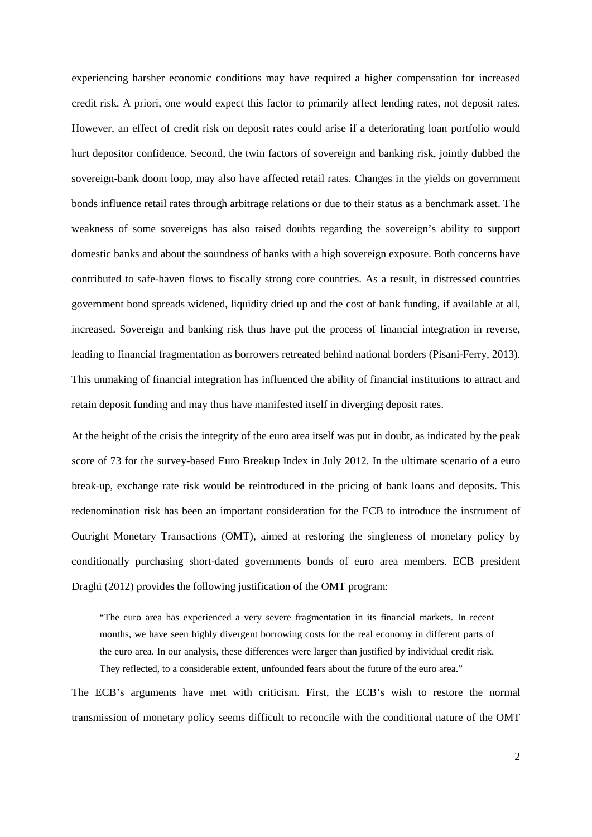experiencing harsher economic conditions may have required a higher compensation for increased credit risk. A priori, one would expect this factor to primarily affect lending rates, not deposit rates. However, an effect of credit risk on deposit rates could arise if a deteriorating loan portfolio would hurt depositor confidence. Second, the twin factors of sovereign and banking risk, jointly dubbed the sovereign-bank doom loop, may also have affected retail rates. Changes in the yields on government bonds influence retail rates through arbitrage relations or due to their status as a benchmark asset. The weakness of some sovereigns has also raised doubts regarding the sovereign's ability to support domestic banks and about the soundness of banks with a high sovereign exposure. Both concerns have contributed to safe-haven flows to fiscally strong core countries. As a result, in distressed countries government bond spreads widened, liquidity dried up and the cost of bank funding, if available at all, increased. Sovereign and banking risk thus have put the process of financial integration in reverse, leading to financial fragmentation as borrowers retreated behind national borders (Pisani-Ferry, 2013). This unmaking of financial integration has influenced the ability of financial institutions to attract and retain deposit funding and may thus have manifested itself in diverging deposit rates.

At the height of the crisis the integrity of the euro area itself was put in doubt, as indicated by the peak score of 73 for the survey-based Euro Breakup Index in July 2012. In the ultimate scenario of a euro break-up, exchange rate risk would be reintroduced in the pricing of bank loans and deposits. This redenomination risk has been an important consideration for the ECB to introduce the instrument of Outright Monetary Transactions (OMT), aimed at restoring the singleness of monetary policy by conditionally purchasing short-dated governments bonds of euro area members. ECB president Draghi (2012) provides the following justification of the OMT program:

"The euro area has experienced a very severe fragmentation in its financial markets. In recent months, we have seen highly divergent borrowing costs for the real economy in different parts of the euro area. In our analysis, these differences were larger than justified by individual credit risk. They reflected, to a considerable extent, unfounded fears about the future of the euro area."

The ECB's arguments have met with criticism. First, the ECB's wish to restore the normal transmission of monetary policy seems difficult to reconcile with the conditional nature of the OMT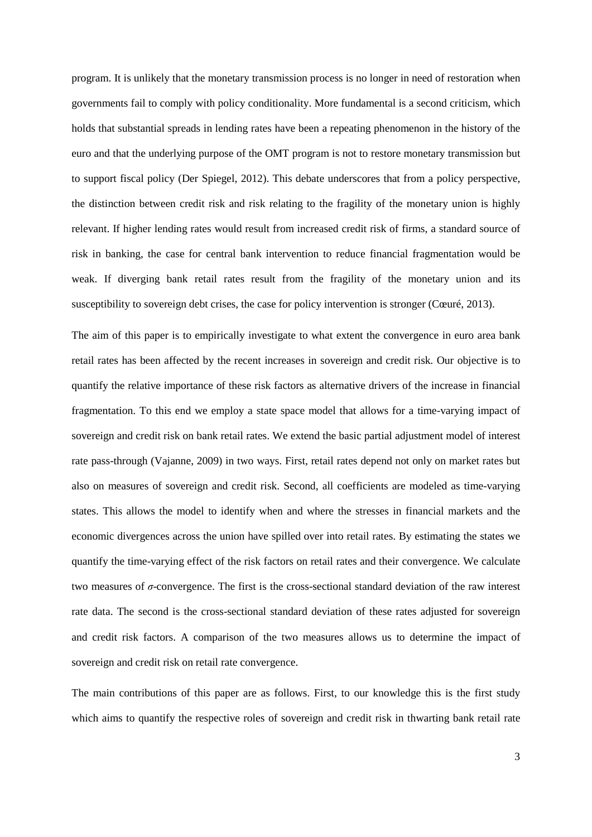program. It is unlikely that the monetary transmission process is no longer in need of restoration when governments fail to comply with policy conditionality. More fundamental is a second criticism, which holds that substantial spreads in lending rates have been a repeating phenomenon in the history of the euro and that the underlying purpose of the OMT program is not to restore monetary transmission but to support fiscal policy (Der Spiegel, 2012). This debate underscores that from a policy perspective, the distinction between credit risk and risk relating to the fragility of the monetary union is highly relevant. If higher lending rates would result from increased credit risk of firms, a standard source of risk in banking, the case for central bank intervention to reduce financial fragmentation would be weak. If diverging bank retail rates result from the fragility of the monetary union and its susceptibility to sovereign debt crises, the case for policy intervention is stronger (Cœuré, 2013).

The aim of this paper is to empirically investigate to what extent the convergence in euro area bank retail rates has been affected by the recent increases in sovereign and credit risk. Our objective is to quantify the relative importance of these risk factors as alternative drivers of the increase in financial fragmentation. To this end we employ a state space model that allows for a time-varying impact of sovereign and credit risk on bank retail rates. We extend the basic partial adjustment model of interest rate pass-through (Vajanne, 2009) in two ways. First, retail rates depend not only on market rates but also on measures of sovereign and credit risk. Second, all coefficients are modeled as time-varying states. This allows the model to identify when and where the stresses in financial markets and the economic divergences across the union have spilled over into retail rates. By estimating the states we quantify the time-varying effect of the risk factors on retail rates and their convergence. We calculate two measures of *σ*-convergence. The first is the cross-sectional standard deviation of the raw interest rate data. The second is the cross-sectional standard deviation of these rates adjusted for sovereign and credit risk factors. A comparison of the two measures allows us to determine the impact of sovereign and credit risk on retail rate convergence.

The main contributions of this paper are as follows. First, to our knowledge this is the first study which aims to quantify the respective roles of sovereign and credit risk in thwarting bank retail rate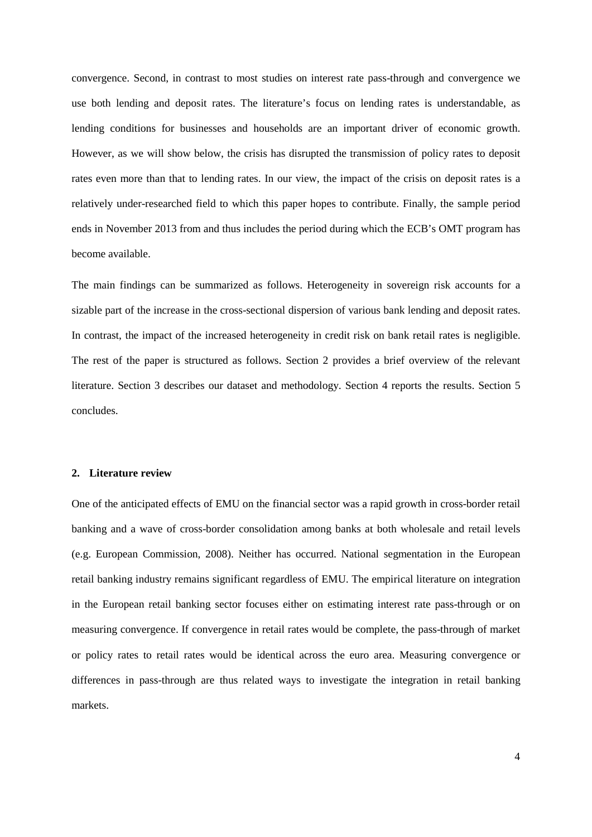convergence. Second, in contrast to most studies on interest rate pass-through and convergence we use both lending and deposit rates. The literature's focus on lending rates is understandable, as lending conditions for businesses and households are an important driver of economic growth. However, as we will show below, the crisis has disrupted the transmission of policy rates to deposit rates even more than that to lending rates. In our view, the impact of the crisis on deposit rates is a relatively under-researched field to which this paper hopes to contribute. Finally, the sample period ends in November 2013 from and thus includes the period during which the ECB's OMT program has become available.

The main findings can be summarized as follows. Heterogeneity in sovereign risk accounts for a sizable part of the increase in the cross-sectional dispersion of various bank lending and deposit rates. In contrast, the impact of the increased heterogeneity in credit risk on bank retail rates is negligible. The rest of the paper is structured as follows. Section 2 provides a brief overview of the relevant literature. Section 3 describes our dataset and methodology. Section 4 reports the results. Section 5 concludes.

# **2. Literature review**

One of the anticipated effects of EMU on the financial sector was a rapid growth in cross-border retail banking and a wave of cross-border consolidation among banks at both wholesale and retail levels (e.g. European Commission, 2008). Neither has occurred. National segmentation in the European retail banking industry remains significant regardless of EMU. The empirical literature on integration in the European retail banking sector focuses either on estimating interest rate pass-through or on measuring convergence. If convergence in retail rates would be complete, the pass-through of market or policy rates to retail rates would be identical across the euro area. Measuring convergence or differences in pass-through are thus related ways to investigate the integration in retail banking markets.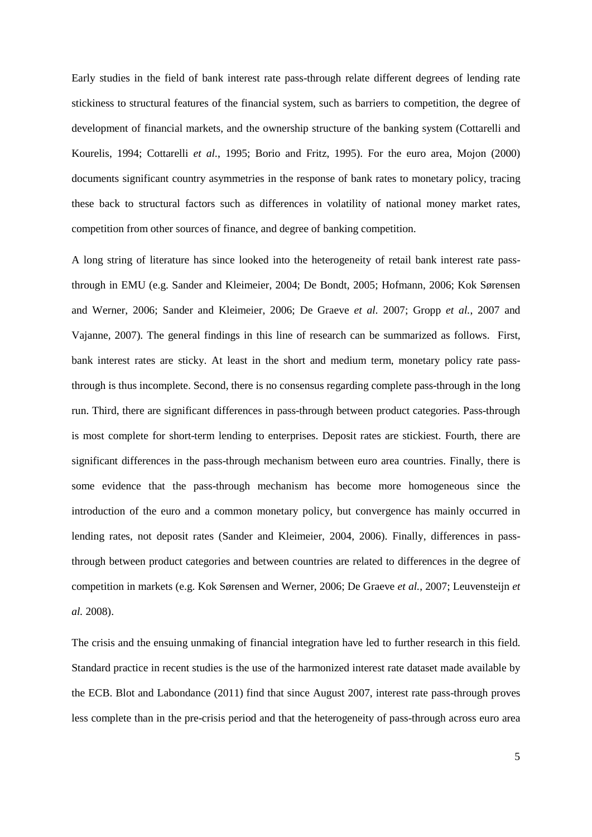Early studies in the field of bank interest rate pass-through relate different degrees of lending rate stickiness to structural features of the financial system, such as barriers to competition, the degree of development of financial markets, and the ownership structure of the banking system (Cottarelli and Kourelis, 1994; Cottarelli *et al.*, 1995; Borio and Fritz, 1995). For the euro area, Mojon (2000) documents significant country asymmetries in the response of bank rates to monetary policy, tracing these back to structural factors such as differences in volatility of national money market rates, competition from other sources of finance, and degree of banking competition.

A long string of literature has since looked into the heterogeneity of retail bank interest rate passthrough in EMU (e.g. Sander and Kleimeier, 2004; De Bondt, 2005; Hofmann, 2006; Kok Sørensen and Werner, 2006; Sander and Kleimeier, 2006; De Graeve *et al.* 2007; Gropp *et al.*, 2007 and Vajanne, 2007). The general findings in this line of research can be summarized as follows. First, bank interest rates are sticky. At least in the short and medium term, monetary policy rate passthrough is thus incomplete. Second, there is no consensus regarding complete pass-through in the long run. Third, there are significant differences in pass-through between product categories. Pass-through is most complete for short-term lending to enterprises. Deposit rates are stickiest. Fourth, there are significant differences in the pass-through mechanism between euro area countries. Finally, there is some evidence that the pass-through mechanism has become more homogeneous since the introduction of the euro and a common monetary policy, but convergence has mainly occurred in lending rates, not deposit rates (Sander and Kleimeier, 2004, 2006). Finally, differences in passthrough between product categories and between countries are related to differences in the degree of competition in markets (e.g. Kok Sørensen and Werner, 2006; De Graeve *et al.*, 2007; Leuvensteijn *et al.* 2008).

The crisis and the ensuing unmaking of financial integration have led to further research in this field. Standard practice in recent studies is the use of the harmonized interest rate dataset made available by the ECB. Blot and Labondance (2011) find that since August 2007, interest rate pass-through proves less complete than in the pre-crisis period and that the heterogeneity of pass-through across euro area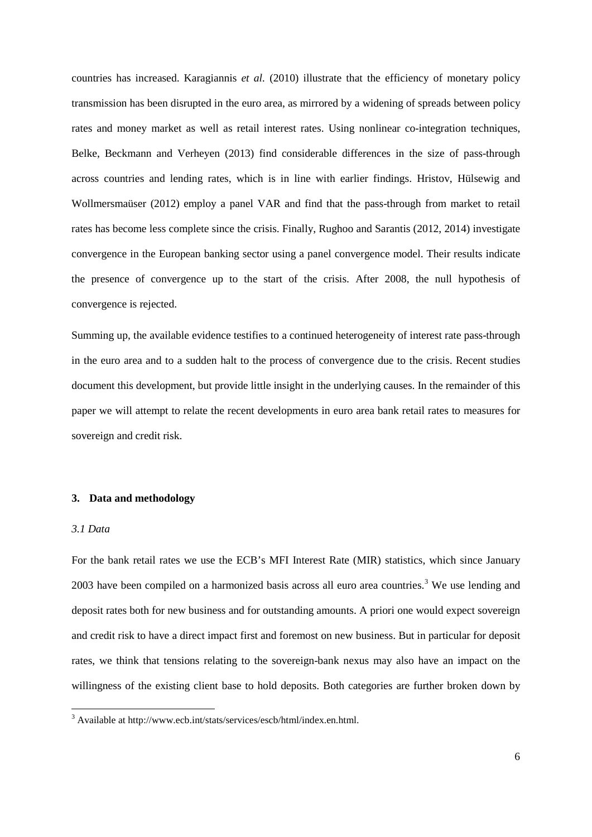countries has increased. Karagiannis *et al.* (2010) illustrate that the efficiency of monetary policy transmission has been disrupted in the euro area, as mirrored by a widening of spreads between policy rates and money market as well as retail interest rates. Using nonlinear co-integration techniques, Belke, Beckmann and Verheyen (2013) find considerable differences in the size of pass-through across countries and lending rates, which is in line with earlier findings. Hristov, Hülsewig and Wollmersmaüser (2012) employ a panel VAR and find that the pass-through from market to retail rates has become less complete since the crisis. Finally, Rughoo and Sarantis (2012, 2014) investigate convergence in the European banking sector using a panel convergence model. Their results indicate the presence of convergence up to the start of the crisis. After 2008, the null hypothesis of convergence is rejected.

Summing up, the available evidence testifies to a continued heterogeneity of interest rate pass-through in the euro area and to a sudden halt to the process of convergence due to the crisis. Recent studies document this development, but provide little insight in the underlying causes. In the remainder of this paper we will attempt to relate the recent developments in euro area bank retail rates to measures for sovereign and credit risk.

# **3. Data and methodology**

### *3.1 Data*

For the bank retail rates we use the ECB's MFI Interest Rate (MIR) statistics, which since January 200[3](#page-6-0) have been compiled on a harmonized basis across all euro area countries.<sup>3</sup> We use lending and deposit rates both for new business and for outstanding amounts. A priori one would expect sovereign and credit risk to have a direct impact first and foremost on new business. But in particular for deposit rates, we think that tensions relating to the sovereign-bank nexus may also have an impact on the willingness of the existing client base to hold deposits. Both categories are further broken down by

<span id="page-6-0"></span><sup>3</sup> Available at http://www.ecb.int/stats/services/escb/html/index.en.html.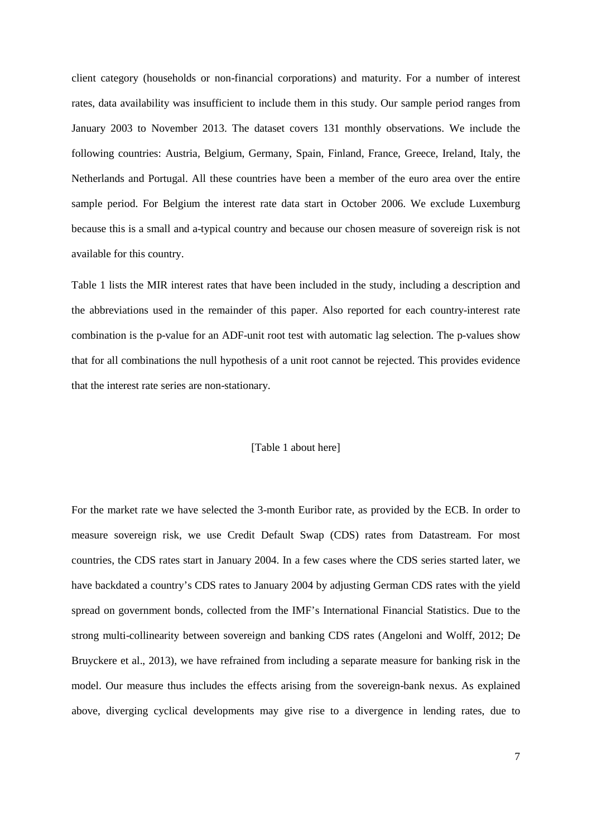client category (households or non-financial corporations) and maturity. For a number of interest rates, data availability was insufficient to include them in this study. Our sample period ranges from January 2003 to November 2013. The dataset covers 131 monthly observations. We include the following countries: Austria, Belgium, Germany, Spain, Finland, France, Greece, Ireland, Italy, the Netherlands and Portugal. All these countries have been a member of the euro area over the entire sample period. For Belgium the interest rate data start in October 2006. We exclude Luxemburg because this is a small and a-typical country and because our chosen measure of sovereign risk is not available for this country.

Table 1 lists the MIR interest rates that have been included in the study, including a description and the abbreviations used in the remainder of this paper. Also reported for each country-interest rate combination is the p-value for an ADF-unit root test with automatic lag selection. The p-values show that for all combinations the null hypothesis of a unit root cannot be rejected. This provides evidence that the interest rate series are non-stationary.

#### [Table 1 about here]

For the market rate we have selected the 3-month Euribor rate, as provided by the ECB. In order to measure sovereign risk, we use Credit Default Swap (CDS) rates from Datastream. For most countries, the CDS rates start in January 2004. In a few cases where the CDS series started later, we have backdated a country's CDS rates to January 2004 by adjusting German CDS rates with the yield spread on government bonds, collected from the IMF's International Financial Statistics. Due to the strong multi-collinearity between sovereign and banking CDS rates (Angeloni and Wolff, 2012; De Bruyckere et al., 2013), we have refrained from including a separate measure for banking risk in the model. Our measure thus includes the effects arising from the sovereign-bank nexus. As explained above, diverging cyclical developments may give rise to a divergence in lending rates, due to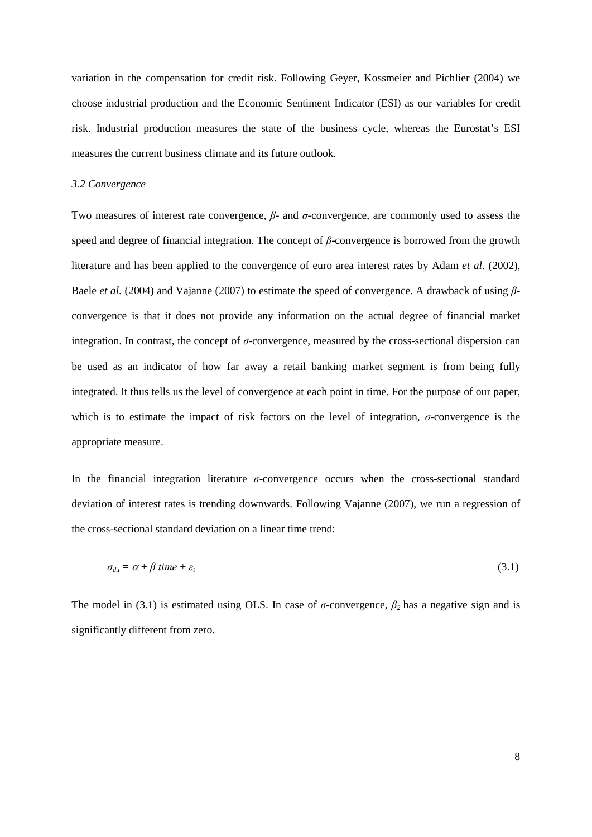variation in the compensation for credit risk. Following Geyer, Kossmeier and Pichlier (2004) we choose industrial production and the Economic Sentiment Indicator (ESI) as our variables for credit risk. Industrial production measures the state of the business cycle, whereas the Eurostat's ESI measures the current business climate and its future outlook.

#### *3.2 Convergence*

Two measures of interest rate convergence, *β*- and *σ*-convergence, are commonly used to assess the speed and degree of financial integration. The concept of *β*-convergence is borrowed from the growth literature and has been applied to the convergence of euro area interest rates by Adam *et al.* (2002), Baele *et al.* (2004) and Vajanne (2007) to estimate the speed of convergence. A drawback of using *β*convergence is that it does not provide any information on the actual degree of financial market integration. In contrast, the concept of *σ*-convergence, measured by the cross-sectional dispersion can be used as an indicator of how far away a retail banking market segment is from being fully integrated. It thus tells us the level of convergence at each point in time. For the purpose of our paper, which is to estimate the impact of risk factors on the level of integration,  $\sigma$ -convergence is the appropriate measure.

In the financial integration literature *σ*-convergence occurs when the cross-sectional standard deviation of interest rates is trending downwards. Following Vajanne (2007), we run a regression of the cross-sectional standard deviation on a linear time trend:

$$
\sigma_{d,t} = \alpha + \beta \, \text{time} + \varepsilon_t \tag{3.1}
$$

The model in (3.1) is estimated using OLS. In case of  $\sigma$ -convergence,  $\beta_2$  has a negative sign and is significantly different from zero.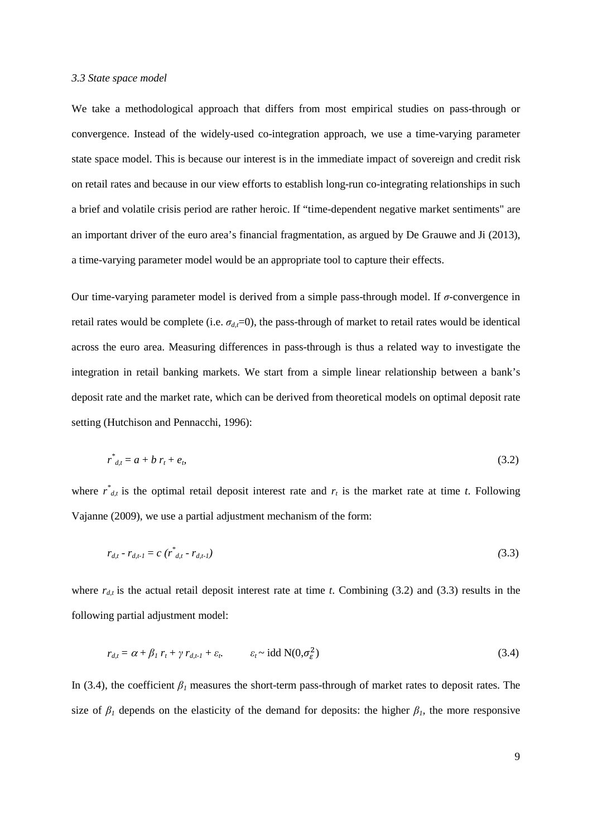#### *3.3 State space model*

We take a methodological approach that differs from most empirical studies on pass-through or convergence. Instead of the widely-used co-integration approach, we use a time-varying parameter state space model. This is because our interest is in the immediate impact of sovereign and credit risk on retail rates and because in our view efforts to establish long-run co-integrating relationships in such a brief and volatile crisis period are rather heroic. If "time-dependent negative market sentiments" are an important driver of the euro area's financial fragmentation, as argued by De Grauwe and Ji (2013), a time-varying parameter model would be an appropriate tool to capture their effects.

Our time-varying parameter model is derived from a simple pass-through model. If *σ*-convergence in retail rates would be complete (i.e.  $\sigma_{d}$ =0), the pass-through of market to retail rates would be identical across the euro area. Measuring differences in pass-through is thus a related way to investigate the integration in retail banking markets. We start from a simple linear relationship between a bank's deposit rate and the market rate, which can be derived from theoretical models on optimal deposit rate setting (Hutchison and Pennacchi, 1996):

$$
r^*_{d,t} = a + b r_t + e_b \tag{3.2}
$$

where  $r^*_{d,t}$  is the optimal retail deposit interest rate and  $r_t$  is the market rate at time *t*. Following Vajanne (2009), we use a partial adjustment mechanism of the form:

$$
r_{d,t} - r_{d,t-1} = c \left( r^*_{d,t} - r_{d,t-1} \right) \tag{3.3}
$$

where  $r_{d,t}$  is the actual retail deposit interest rate at time *t*. Combining (3.2) and (3.3) results in the following partial adjustment model:

$$
r_{d,t} = \alpha + \beta_1 r_t + \gamma r_{d,t-1} + \varepsilon_t \qquad \varepsilon_t \sim \text{idd } N(0, \sigma_{\varepsilon}^2)
$$
\n(3.4)

In (3.4), the coefficient  $\beta$ <sup>*I*</sup> measures the short-term pass-through of market rates to deposit rates. The size of  $\beta$ <sup>*I*</sup> depends on the elasticity of the demand for deposits: the higher  $\beta$ <sup>*I*</sup>, the more responsive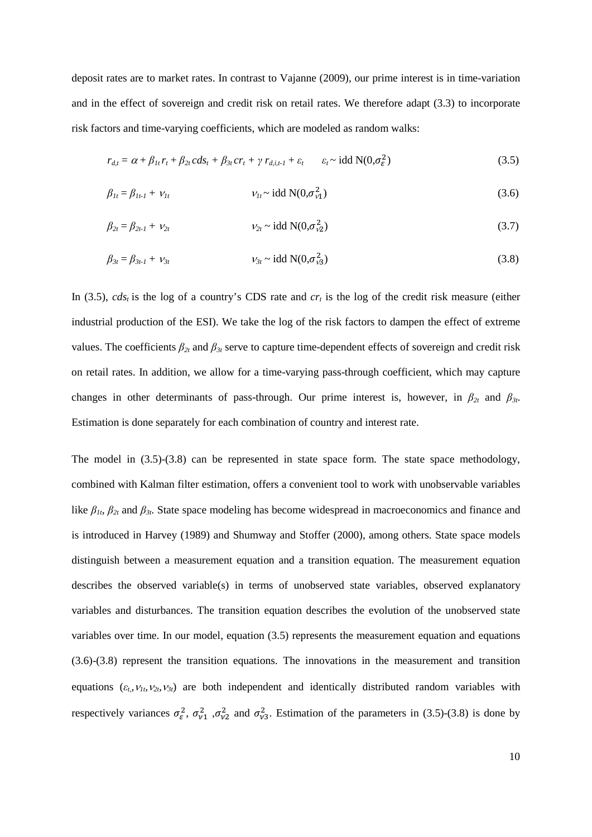deposit rates are to market rates. In contrast to Vajanne (2009), our prime interest is in time-variation and in the effect of sovereign and credit risk on retail rates. We therefore adapt (3.3) to incorporate risk factors and time-varying coefficients, which are modeled as random walks:

$$
r_{d,t} = \alpha + \beta_{1t} r_t + \beta_{2t} c ds_t + \beta_{3t} c r_t + \gamma r_{d,i,t-1} + \varepsilon_t \qquad \varepsilon_t \sim \text{idd } N(0, \sigma_{\varepsilon}^2)
$$
\n(3.5)

$$
\beta_{1t} = \beta_{1t-1} + v_{1t} \qquad \qquad v_{1t} \sim \text{idd } N(0, \sigma_{\nu 1}^2) \tag{3.6}
$$

$$
\beta_{2t} = \beta_{2t-1} + \nu_{2t} \qquad \nu_{2t} \sim \text{idd } N(0, \sigma_{\nu 2}^2)
$$
\n(3.7)

$$
\beta_{3t} = \beta_{3t-1} + \nu_{3t} \qquad \qquad \nu_{3t} \sim \text{idd } N(0, \sigma_{\nu 3}^2) \tag{3.8}
$$

In (3.5),  $cds<sub>t</sub>$  is the log of a country's CDS rate and  $cr<sub>t</sub>$  is the log of the credit risk measure (either industrial production of the ESI). We take the log of the risk factors to dampen the effect of extreme values. The coefficients  $\beta_{2t}$  and  $\beta_{3t}$  serve to capture time-dependent effects of sovereign and credit risk on retail rates. In addition, we allow for a time-varying pass-through coefficient, which may capture changes in other determinants of pass-through. Our prime interest is, however, in *β2t* and *β3t*. Estimation is done separately for each combination of country and interest rate.

The model in (3.5)-(3.8) can be represented in state space form. The state space methodology, combined with Kalman filter estimation, offers a convenient tool to work with unobservable variables like *β1t*, *β2t* and *β3t*. State space modeling has become widespread in macroeconomics and finance and is introduced in Harvey (1989) and Shumway and Stoffer (2000), among others. State space models distinguish between a measurement equation and a transition equation. The measurement equation describes the observed variable(s) in terms of unobserved state variables, observed explanatory variables and disturbances. The transition equation describes the evolution of the unobserved state variables over time. In our model, equation (3.5) represents the measurement equation and equations (3.6)-(3.8) represent the transition equations. The innovations in the measurement and transition equations  $(\varepsilon_t, v_1, v_2, v_3)$  are both independent and identically distributed random variables with respectively variances  $\sigma_{\varepsilon}^2$ ,  $\sigma_{\nu 1}^2$ ,  $\sigma_{\nu 2}^2$  and  $\sigma_{\nu 3}^2$ . Estimation of the parameters in (3.5)-(3.8) is done by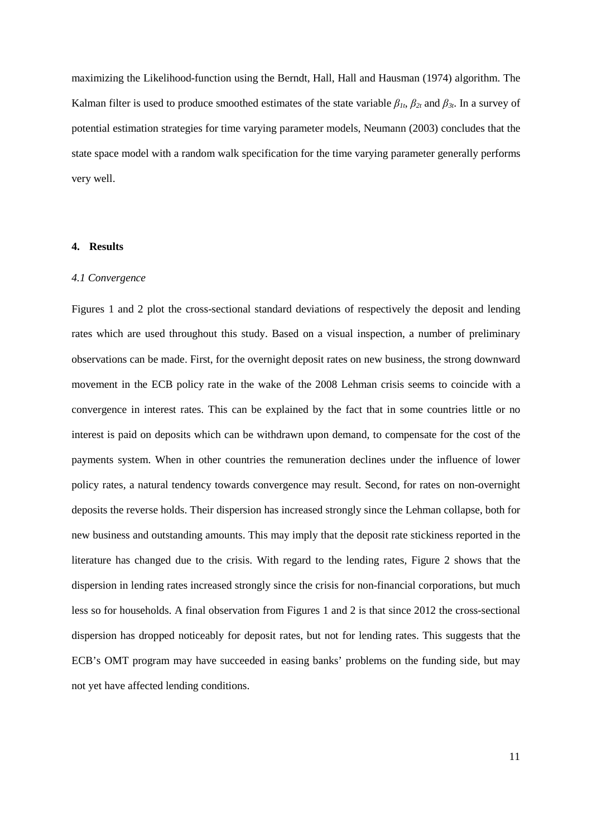maximizing the Likelihood-function using the Berndt, Hall, Hall and Hausman (1974) algorithm. The Kalman filter is used to produce smoothed estimates of the state variable  $\beta_{1t}$ ,  $\beta_{2t}$  and  $\beta_{3t}$ . In a survey of potential estimation strategies for time varying parameter models, Neumann (2003) concludes that the state space model with a random walk specification for the time varying parameter generally performs very well.

## **4. Results**

#### *4.1 Convergence*

Figures 1 and 2 plot the cross-sectional standard deviations of respectively the deposit and lending rates which are used throughout this study. Based on a visual inspection, a number of preliminary observations can be made. First, for the overnight deposit rates on new business, the strong downward movement in the ECB policy rate in the wake of the 2008 Lehman crisis seems to coincide with a convergence in interest rates. This can be explained by the fact that in some countries little or no interest is paid on deposits which can be withdrawn upon demand, to compensate for the cost of the payments system. When in other countries the remuneration declines under the influence of lower policy rates, a natural tendency towards convergence may result. Second, for rates on non-overnight deposits the reverse holds. Their dispersion has increased strongly since the Lehman collapse, both for new business and outstanding amounts. This may imply that the deposit rate stickiness reported in the literature has changed due to the crisis. With regard to the lending rates, Figure 2 shows that the dispersion in lending rates increased strongly since the crisis for non-financial corporations, but much less so for households. A final observation from Figures 1 and 2 is that since 2012 the cross-sectional dispersion has dropped noticeably for deposit rates, but not for lending rates. This suggests that the ECB's OMT program may have succeeded in easing banks' problems on the funding side, but may not yet have affected lending conditions.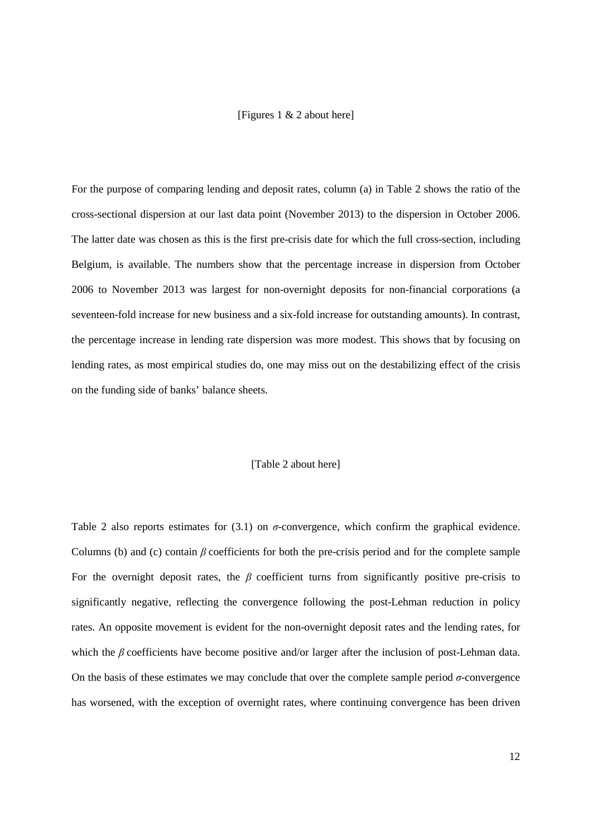# [Figures 1 & 2 about here]

For the purpose of comparing lending and deposit rates, column (a) in Table 2 shows the ratio of the cross-sectional dispersion at our last data point (November 2013) to the dispersion in October 2006. The latter date was chosen as this is the first pre-crisis date for which the full cross-section, including Belgium, is available. The numbers show that the percentage increase in dispersion from October 2006 to November 2013 was largest for non-overnight deposits for non-financial corporations (a seventeen-fold increase for new business and a six-fold increase for outstanding amounts). In contrast, the percentage increase in lending rate dispersion was more modest. This shows that by focusing on lending rates, as most empirical studies do, one may miss out on the destabilizing effect of the crisis on the funding side of banks' balance sheets.

#### [Table 2 about here]

Table 2 also reports estimates for  $(3.1)$  on  $\sigma$ -convergence, which confirm the graphical evidence. Columns (b) and (c) contain *β* coefficients for both the pre-crisis period and for the complete sample For the overnight deposit rates, the  $\beta$  coefficient turns from significantly positive pre-crisis to significantly negative, reflecting the convergence following the post-Lehman reduction in policy rates. An opposite movement is evident for the non-overnight deposit rates and the lending rates, for which the *β* coefficients have become positive and/or larger after the inclusion of post-Lehman data. On the basis of these estimates we may conclude that over the complete sample period *σ*-convergence has worsened, with the exception of overnight rates, where continuing convergence has been driven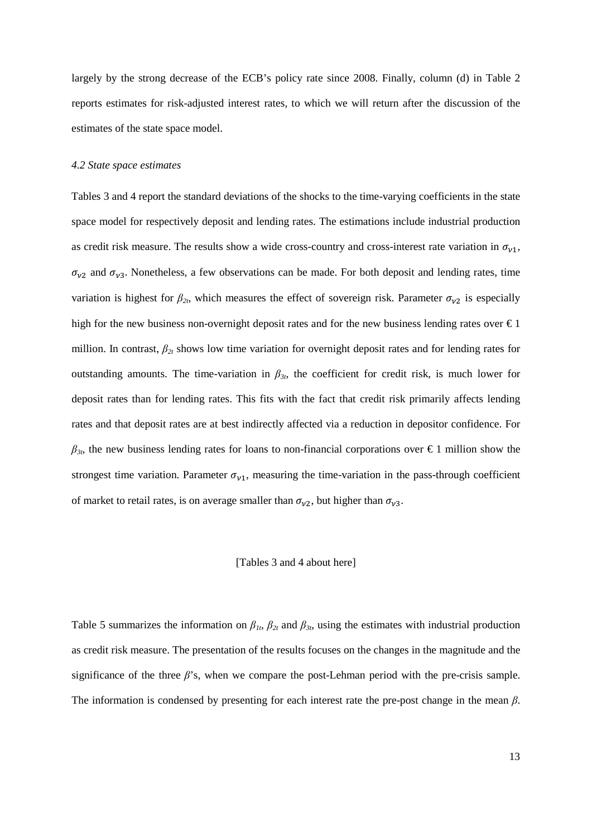largely by the strong decrease of the ECB's policy rate since 2008. Finally, column (d) in Table 2 reports estimates for risk-adjusted interest rates, to which we will return after the discussion of the estimates of the state space model.

#### *4.2 State space estimates*

Tables 3 and 4 report the standard deviations of the shocks to the time-varying coefficients in the state space model for respectively deposit and lending rates. The estimations include industrial production as credit risk measure. The results show a wide cross-country and cross-interest rate variation in  $\sigma_{v1}$ ,  $\sigma_{v2}$  and  $\sigma_{v3}$ . Nonetheless, a few observations can be made. For both deposit and lending rates, time variation is highest for  $\beta_{2t}$ , which measures the effect of sovereign risk. Parameter  $\sigma_{v2}$  is especially high for the new business non-overnight deposit rates and for the new business lending rates over  $\epsilon$ 1 million. In contrast,  $\beta_{2t}$  shows low time variation for overnight deposit rates and for lending rates for outstanding amounts. The time-variation in  $\beta_{3t}$ , the coefficient for credit risk, is much lower for deposit rates than for lending rates. This fits with the fact that credit risk primarily affects lending rates and that deposit rates are at best indirectly affected via a reduction in depositor confidence. For  $\beta_{3t}$ , the new business lending rates for loans to non-financial corporations over  $\epsilon$ 1 million show the strongest time variation. Parameter  $\sigma_{v1}$ , measuring the time-variation in the pass-through coefficient of market to retail rates, is on average smaller than  $\sigma_{v2}$ , but higher than  $\sigma_{v3}$ .

#### [Tables 3 and 4 about here]

Table 5 summarizes the information on  $\beta_{1t}$ ,  $\beta_{2t}$  and  $\beta_{3t}$ , using the estimates with industrial production as credit risk measure. The presentation of the results focuses on the changes in the magnitude and the significance of the three  $\beta$ 's, when we compare the post-Lehman period with the pre-crisis sample. The information is condensed by presenting for each interest rate the pre-post change in the mean *β*.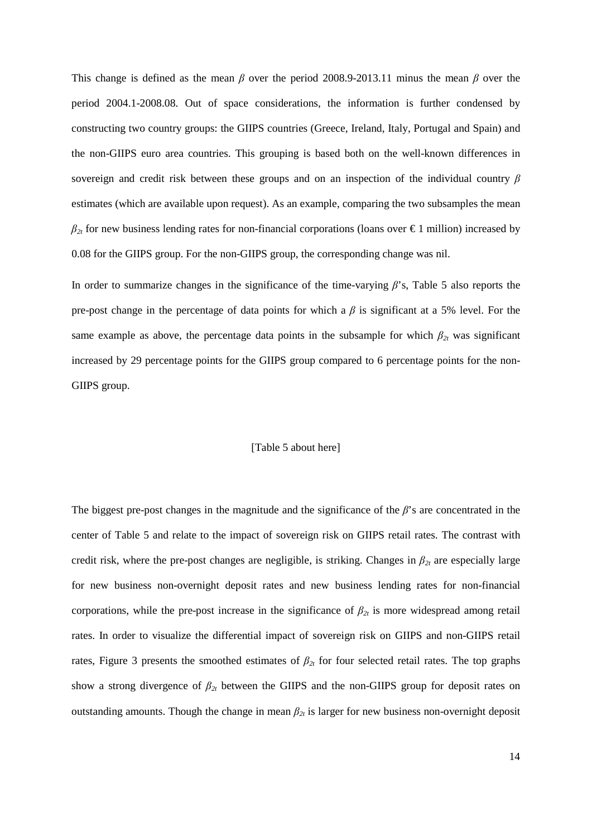This change is defined as the mean *β* over the period 2008.9-2013.11 minus the mean *β* over the period 2004.1-2008.08. Out of space considerations, the information is further condensed by constructing two country groups: the GIIPS countries (Greece, Ireland, Italy, Portugal and Spain) and the non-GIIPS euro area countries. This grouping is based both on the well-known differences in sovereign and credit risk between these groups and on an inspection of the individual country *β* estimates (which are available upon request). As an example, comparing the two subsamples the mean  $\beta_{2t}$  for new business lending rates for non-financial corporations (loans over  $\epsilon$ 1 million) increased by 0.08 for the GIIPS group. For the non-GIIPS group, the corresponding change was nil.

In order to summarize changes in the significance of the time-varying *β*'s, Table 5 also reports the pre-post change in the percentage of data points for which a *β* is significant at a 5% level. For the same example as above, the percentage data points in the subsample for which  $\beta_{2t}$  was significant increased by 29 percentage points for the GIIPS group compared to 6 percentage points for the non-GIIPS group.

#### [Table 5 about here]

The biggest pre-post changes in the magnitude and the significance of the *β*'s are concentrated in the center of Table 5 and relate to the impact of sovereign risk on GIIPS retail rates. The contrast with credit risk, where the pre-post changes are negligible, is striking. Changes in  $\beta_{2t}$  are especially large for new business non-overnight deposit rates and new business lending rates for non-financial corporations, while the pre-post increase in the significance of  $\beta_{2t}$  is more widespread among retail rates. In order to visualize the differential impact of sovereign risk on GIIPS and non-GIIPS retail rates, Figure 3 presents the smoothed estimates of  $\beta_{2t}$  for four selected retail rates. The top graphs show a strong divergence of  $\beta_{2t}$  between the GIIPS and the non-GIIPS group for deposit rates on outstanding amounts. Though the change in mean  $\beta_{2t}$  is larger for new business non-overnight deposit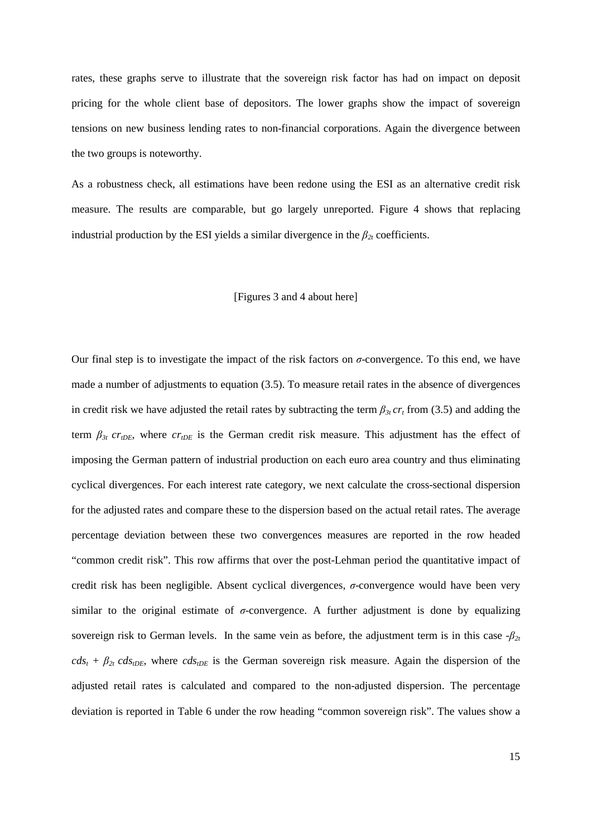rates, these graphs serve to illustrate that the sovereign risk factor has had on impact on deposit pricing for the whole client base of depositors. The lower graphs show the impact of sovereign tensions on new business lending rates to non-financial corporations. Again the divergence between the two groups is noteworthy.

As a robustness check, all estimations have been redone using the ESI as an alternative credit risk measure. The results are comparable, but go largely unreported. Figure 4 shows that replacing industrial production by the ESI yields a similar divergence in the  $\beta_{2t}$  coefficients.

#### [Figures 3 and 4 about here]

Our final step is to investigate the impact of the risk factors on *σ*-convergence. To this end, we have made a number of adjustments to equation (3.5). To measure retail rates in the absence of divergences in credit risk we have adjusted the retail rates by subtracting the term  $\beta_{3t}$  cr<sub>t</sub> from (3.5) and adding the term  $\beta_{3t}$  cr<sub>tDE</sub>, where  $cr_{tDE}$  is the German credit risk measure. This adjustment has the effect of imposing the German pattern of industrial production on each euro area country and thus eliminating cyclical divergences. For each interest rate category, we next calculate the cross-sectional dispersion for the adjusted rates and compare these to the dispersion based on the actual retail rates. The average percentage deviation between these two convergences measures are reported in the row headed "common credit risk". This row affirms that over the post-Lehman period the quantitative impact of credit risk has been negligible. Absent cyclical divergences, *σ*-convergence would have been very similar to the original estimate of  $\sigma$ -convergence. A further adjustment is done by equalizing sovereign risk to German levels. In the same vein as before, the adjustment term is in this case  $-\beta_{2t}$  $cds_t + \beta_{2t} cds_{tDE}$ , where  $cds_{tDE}$  is the German sovereign risk measure. Again the dispersion of the adjusted retail rates is calculated and compared to the non-adjusted dispersion. The percentage deviation is reported in Table 6 under the row heading "common sovereign risk". The values show a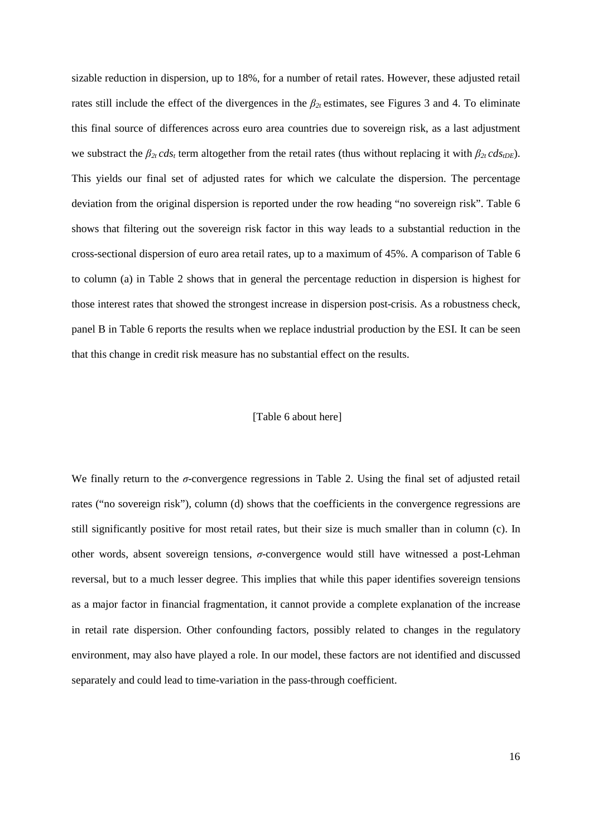sizable reduction in dispersion, up to 18%, for a number of retail rates. However, these adjusted retail rates still include the effect of the divergences in the  $\beta_{2t}$  estimates, see Figures 3 and 4. To eliminate this final source of differences across euro area countries due to sovereign risk, as a last adjustment we substract the  $\beta_{2t} cds_t$  term altogether from the retail rates (thus without replacing it with  $\beta_{2t} cds_{tDE}$ ). This yields our final set of adjusted rates for which we calculate the dispersion. The percentage deviation from the original dispersion is reported under the row heading "no sovereign risk". Table 6 shows that filtering out the sovereign risk factor in this way leads to a substantial reduction in the cross-sectional dispersion of euro area retail rates, up to a maximum of 45%. A comparison of Table 6 to column (a) in Table 2 shows that in general the percentage reduction in dispersion is highest for those interest rates that showed the strongest increase in dispersion post-crisis. As a robustness check, panel B in Table 6 reports the results when we replace industrial production by the ESI. It can be seen that this change in credit risk measure has no substantial effect on the results.

#### [Table 6 about here]

We finally return to the *σ*-convergence regressions in Table 2. Using the final set of adjusted retail rates ("no sovereign risk"), column (d) shows that the coefficients in the convergence regressions are still significantly positive for most retail rates, but their size is much smaller than in column (c). In other words, absent sovereign tensions, *σ*-convergence would still have witnessed a post-Lehman reversal, but to a much lesser degree. This implies that while this paper identifies sovereign tensions as a major factor in financial fragmentation, it cannot provide a complete explanation of the increase in retail rate dispersion. Other confounding factors, possibly related to changes in the regulatory environment, may also have played a role. In our model, these factors are not identified and discussed separately and could lead to time-variation in the pass-through coefficient.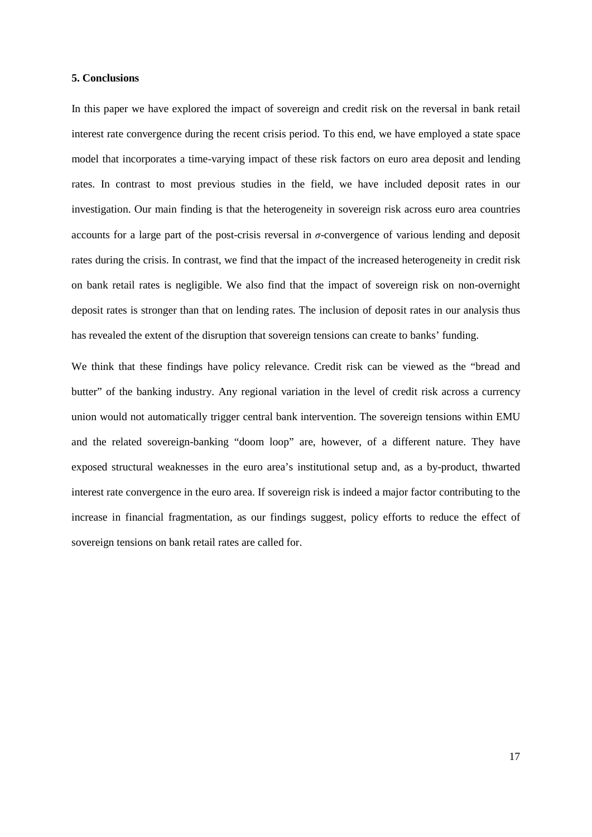#### **5. Conclusions**

In this paper we have explored the impact of sovereign and credit risk on the reversal in bank retail interest rate convergence during the recent crisis period. To this end, we have employed a state space model that incorporates a time-varying impact of these risk factors on euro area deposit and lending rates. In contrast to most previous studies in the field, we have included deposit rates in our investigation. Our main finding is that the heterogeneity in sovereign risk across euro area countries accounts for a large part of the post-crisis reversal in *σ*-convergence of various lending and deposit rates during the crisis. In contrast, we find that the impact of the increased heterogeneity in credit risk on bank retail rates is negligible. We also find that the impact of sovereign risk on non-overnight deposit rates is stronger than that on lending rates. The inclusion of deposit rates in our analysis thus has revealed the extent of the disruption that sovereign tensions can create to banks' funding.

We think that these findings have policy relevance. Credit risk can be viewed as the "bread and butter" of the banking industry. Any regional variation in the level of credit risk across a currency union would not automatically trigger central bank intervention. The sovereign tensions within EMU and the related sovereign-banking "doom loop" are, however, of a different nature. They have exposed structural weaknesses in the euro area's institutional setup and, as a by-product, thwarted interest rate convergence in the euro area. If sovereign risk is indeed a major factor contributing to the increase in financial fragmentation, as our findings suggest, policy efforts to reduce the effect of sovereign tensions on bank retail rates are called for.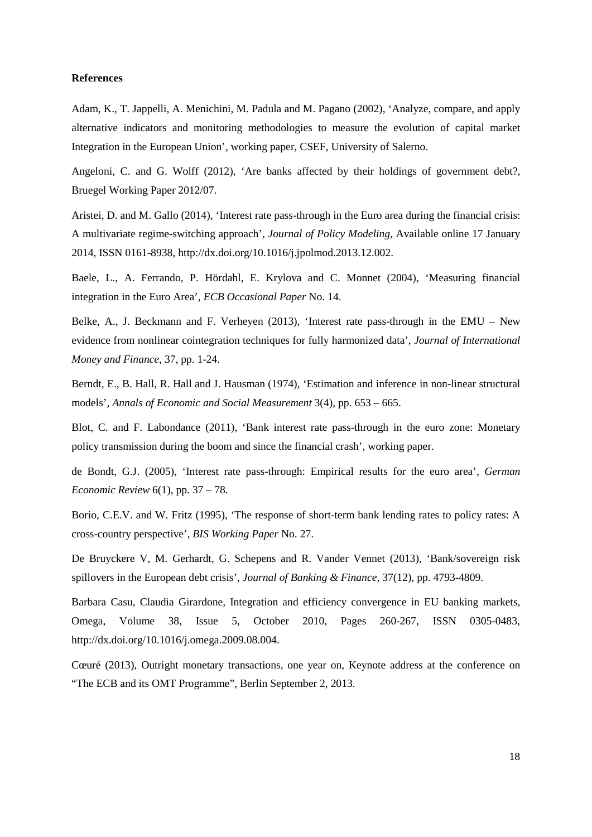#### **References**

Adam, K., T. Jappelli, A. Menichini, M. Padula and M. Pagano (2002), 'Analyze, compare, and apply alternative indicators and monitoring methodologies to measure the evolution of capital market Integration in the European Union', working paper, CSEF, University of Salerno.

Angeloni, C. and G. Wolff (2012), 'Are banks affected by their holdings of government debt?, Bruegel Working Paper 2012/07.

Aristei, D. and M. Gallo (2014), 'Interest rate pass-through in the Euro area during the financial crisis: A multivariate regime-switching approach', *Journal of Policy Modeling*, Available online 17 January 2014, ISSN 0161-8938, http://dx.doi.org/10.1016/j.jpolmod.2013.12.002.

Baele, L., A. Ferrando, P. Hördahl, E. Krylova and C. Monnet (2004), 'Measuring financial integration in the Euro Area', *ECB Occasional Paper* No. 14.

Belke, A., J. Beckmann and F. Verheyen (2013), 'Interest rate pass-through in the EMU – New evidence from nonlinear cointegration techniques for fully harmonized data', *Journal of International Money and Finance*, 37, pp. 1-24.

Berndt, E., B. Hall, R. Hall and J. Hausman (1974), 'Estimation and inference in non-linear structural models', *Annals of Economic and Social Measurement* 3(4), pp. 653 – 665.

Blot, C. and F. Labondance (2011), 'Bank interest rate pass-through in the euro zone: Monetary policy transmission during the boom and since the financial crash', working paper.

de Bondt, G.J. (2005), 'Interest rate pass-through: Empirical results for the euro area', *German Economic Review* 6(1), pp. 37 – 78.

Borio, C.E.V. and W. Fritz (1995), 'The response of short-term bank lending rates to policy rates: A cross-country perspective', *BIS Working Paper* No. 27.

De Bruyckere V, M. Gerhardt, G. Schepens and R. Vander Vennet (2013), 'Bank/sovereign risk spillovers in the European debt crisis', *Journal of Banking & Finance*, 37(12), pp. 4793-4809.

Barbara Casu, Claudia Girardone, Integration and efficiency convergence in EU banking markets, Omega, Volume 38, Issue 5, October 2010, Pages 260-267, ISSN 0305-0483, http://dx.doi.org/10.1016/j.omega.2009.08.004.

Cœuré (2013), Outright monetary transactions, one year on, Keynote address at the conference on "The ECB and its OMT Programme", Berlin September 2, 2013.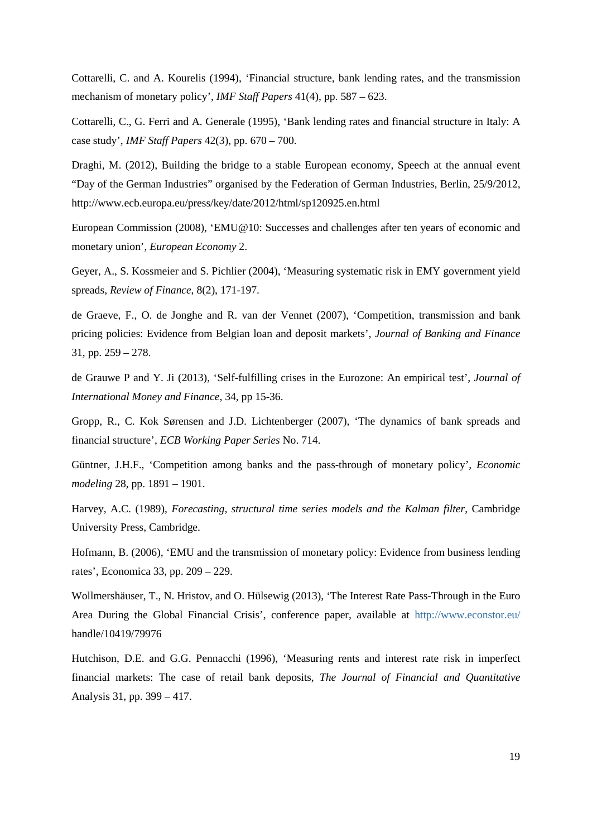Cottarelli, C. and A. Kourelis (1994), 'Financial structure, bank lending rates, and the transmission mechanism of monetary policy', *IMF Staff Papers* 41(4), pp. 587 – 623.

Cottarelli, C., G. Ferri and A. Generale (1995), 'Bank lending rates and financial structure in Italy: A case study', *IMF Staff Papers* 42(3), pp. 670 – 700.

Draghi, M. (2012), Building the bridge to a stable European economy, Speech at the annual event "Day of the German Industries" organised by the Federation of German Industries, Berlin, 25/9/2012, http://www.ecb.europa.eu/press/key/date/2012/html/sp120925.en.html

European Commission (2008), 'EMU@10: Successes and challenges after ten years of economic and monetary union', *European Economy* 2.

Geyer, A., S. Kossmeier and S. Pichlier (2004), 'Measuring systematic risk in EMY government yield spreads, *Review of Finance*, 8(2), 171-197.

de Graeve, F., O. de Jonghe and R. van der Vennet (2007), 'Competition, transmission and bank pricing policies: Evidence from Belgian loan and deposit markets', *Journal of Banking and Finance*  31, pp. 259 – 278.

de Grauwe P and Y. Ji (2013), 'Self-fulfilling crises in the Eurozone: An empirical test', *Journal of International Money and Finance*, 34, pp 15-36.

Gropp, R., C. Kok Sørensen and J.D. Lichtenberger (2007), 'The dynamics of bank spreads and financial structure', *ECB Working Paper Series* No. 714.

Güntner, J.H.F., 'Competition among banks and the pass-through of monetary policy', *Economic modeling* 28, pp. 1891 – 1901.

Harvey, A.C. (1989), *Forecasting, structural time series models and the Kalman filter*, Cambridge University Press, Cambridge.

Hofmann, B. (2006), 'EMU and the transmission of monetary policy: Evidence from business lending rates', Economica 33, pp. 209 – 229.

Wollmershäuser, T., N. Hristov, and O. Hülsewig (2013), 'The Interest Rate Pass-Through in the Euro Area During the Global Financial Crisis', conference paper, available at <http://www.econstor.eu/> handle/10419/79976

Hutchison, D.E. and G.G. Pennacchi (1996), 'Measuring rents and interest rate risk in imperfect financial markets: The case of retail bank deposits, *The Journal of Financial and Quantitative*  Analysis 31, pp. 399 – 417.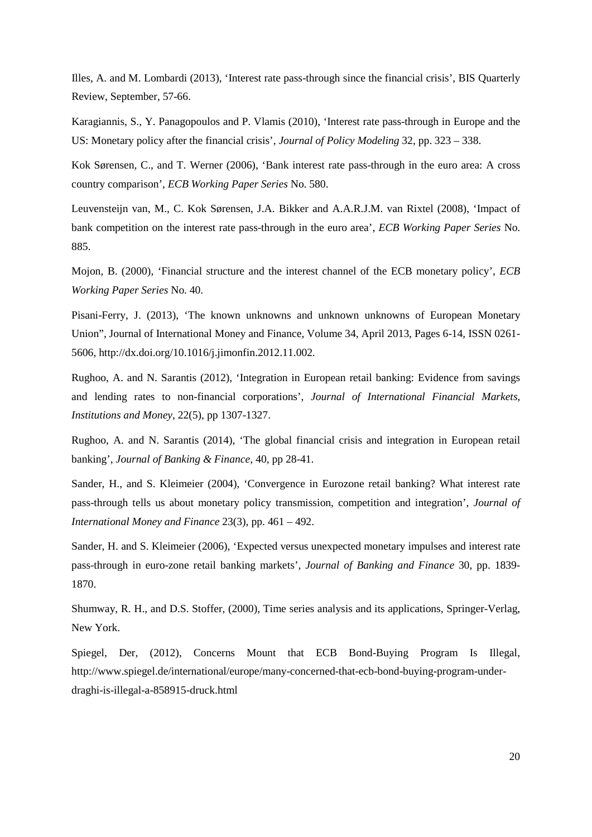Illes, A. and M. Lombardi (2013), 'Interest rate pass-through since the financial crisis', BIS Quarterly Review, September, 57-66.

Karagiannis, S., Y. Panagopoulos and P. Vlamis (2010), 'Interest rate pass-through in Europe and the US: Monetary policy after the financial crisis', *Journal of Policy Modeling* 32, pp. 323 – 338.

Kok Sørensen, C., and T. Werner (2006), 'Bank interest rate pass-through in the euro area: A cross country comparison', *ECB Working Paper Series* No. 580.

Leuvensteijn van, M., C. Kok Sørensen, J.A. Bikker and A.A.R.J.M. van Rixtel (2008), 'Impact of bank competition on the interest rate pass-through in the euro area', *ECB Working Paper Series* No. 885.

Mojon, B. (2000), 'Financial structure and the interest channel of the ECB monetary policy', *ECB Working Paper Series* No. 40.

Pisani-Ferry, J. (2013), 'The known unknowns and unknown unknowns of European Monetary Union", Journal of International Money and Finance, Volume 34, April 2013, Pages 6-14, ISSN 0261- 5606, http://dx.doi.org/10.1016/j.jimonfin.2012.11.002.

Rughoo, A. and N. Sarantis (2012), 'Integration in European retail banking: Evidence from savings and lending rates to non-financial corporations', *Journal of International Financial Markets, Institutions and Money*, 22(5), pp 1307-1327.

Rughoo, A. and N. Sarantis (2014), 'The global financial crisis and integration in European retail banking', *Journal of Banking & Finance*, 40, pp 28-41.

Sander, H., and S. Kleimeier (2004), 'Convergence in Eurozone retail banking? What interest rate pass-through tells us about monetary policy transmission, competition and integration', *Journal of International Money and Finance* 23(3), pp. 461 – 492.

Sander, H. and S. Kleimeier (2006), 'Expected versus unexpected monetary impulses and interest rate pass-through in euro-zone retail banking markets', *Journal of Banking and Finance* 30, pp. 1839- 1870.

Shumway, R. H., and D.S. Stoffer, (2000), Time series analysis and its applications, Springer-Verlag, New York.

Spiegel, Der, (2012), Concerns Mount that ECB Bond-Buying Program Is Illegal, http://www.spiegel.de/international/europe/many-concerned-that-ecb-bond-buying-program-underdraghi-is-illegal-a-858915-druck.html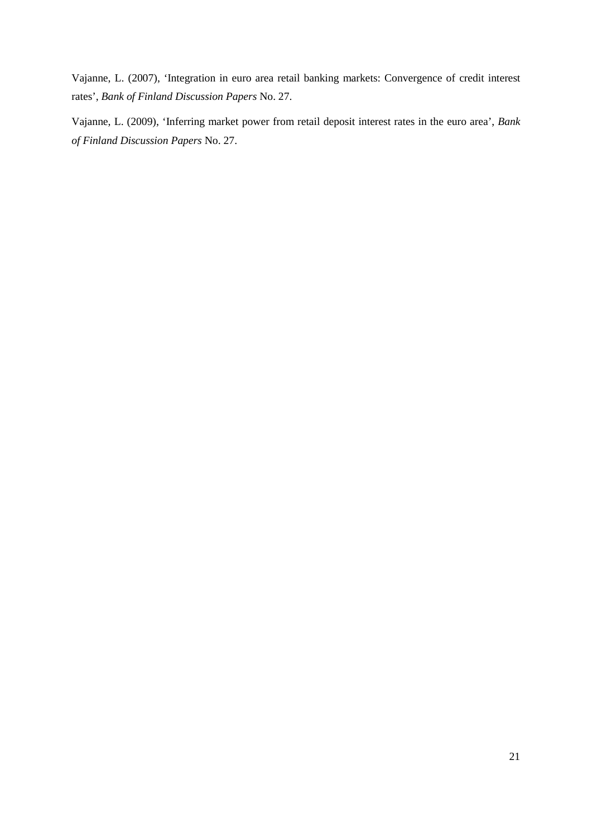Vajanne, L. (2007), 'Integration in euro area retail banking markets: Convergence of credit interest rates', *Bank of Finland Discussion Papers* No. 27.

Vajanne, L. (2009), 'Inferring market power from retail deposit interest rates in the euro area', *Bank of Finland Discussion Papers* No. 27.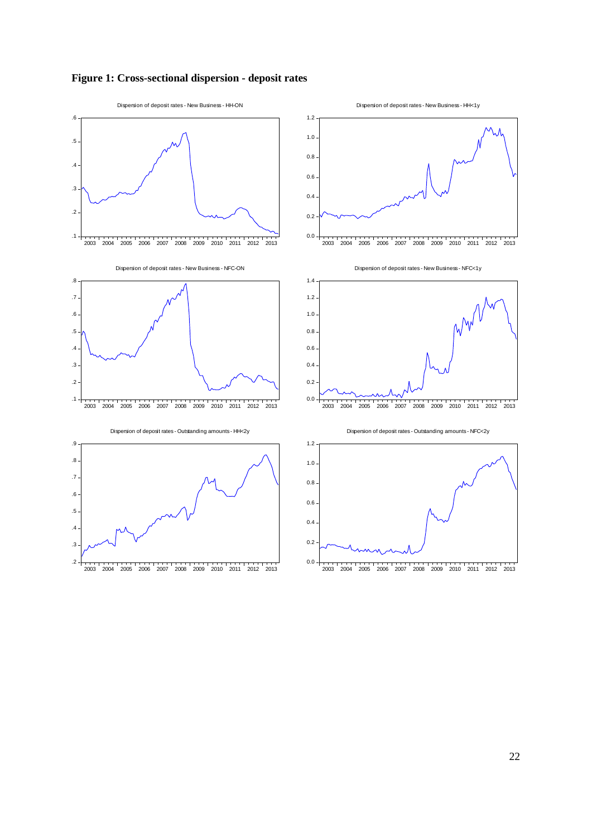# **Figure 1: Cross-sectional dispersion - deposit rates**

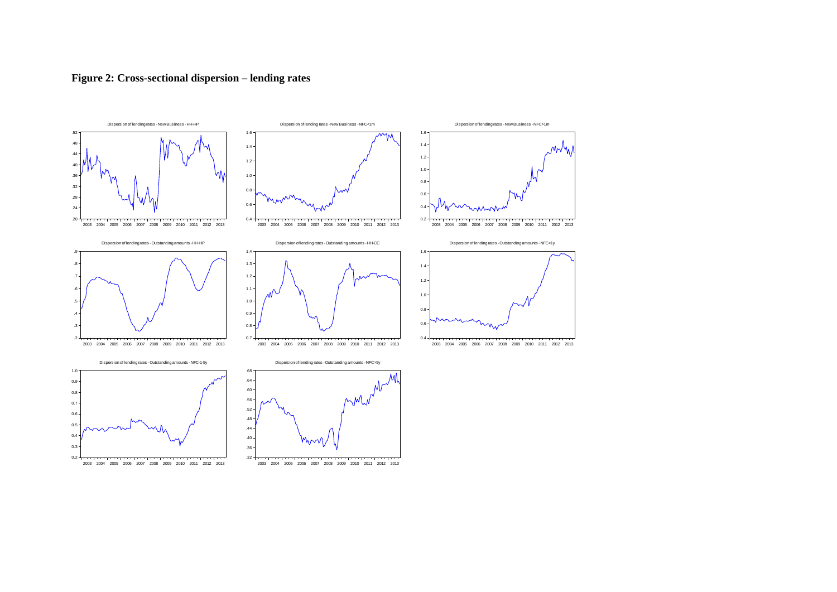

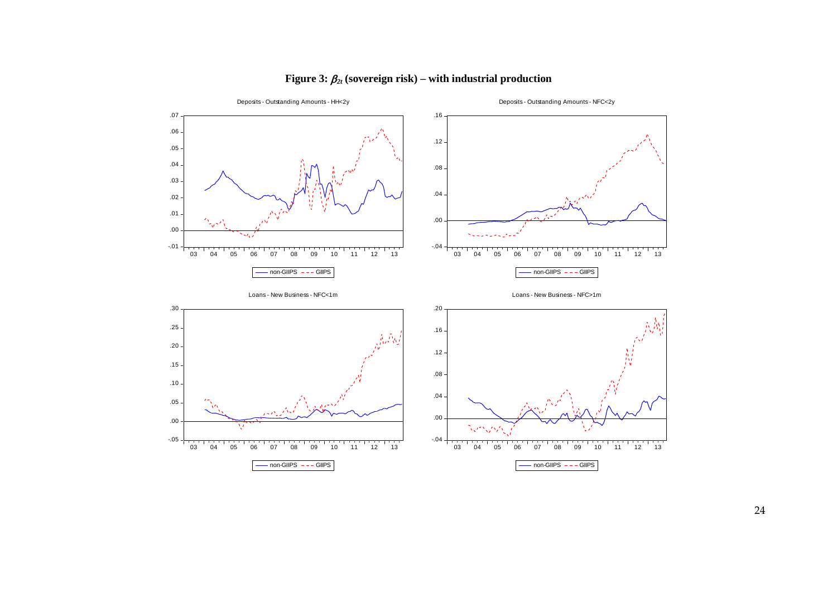

# **Figure 3:**  $\beta_{2t}$  (sovereign risk) – with industrial production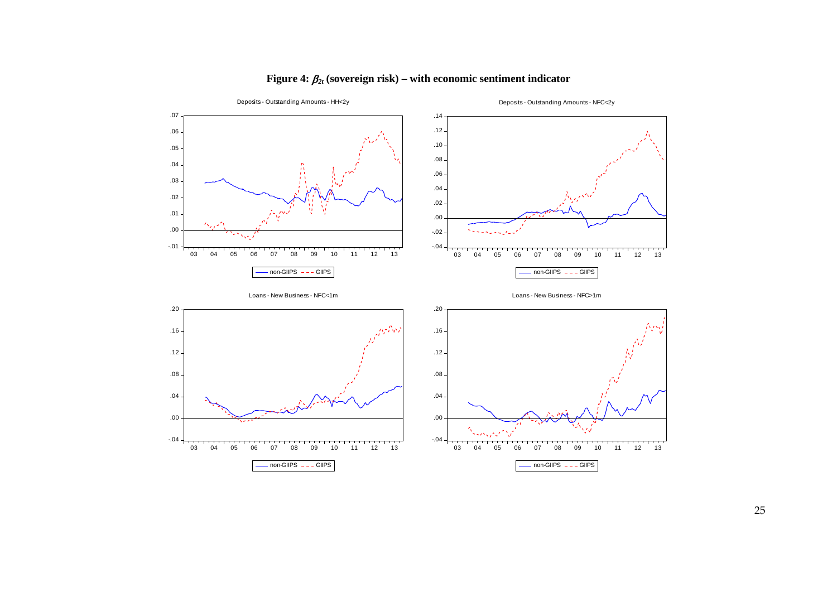

# **Figure 4:**  $\beta_{2t}$  (sovereign risk) – with economic sentiment indicator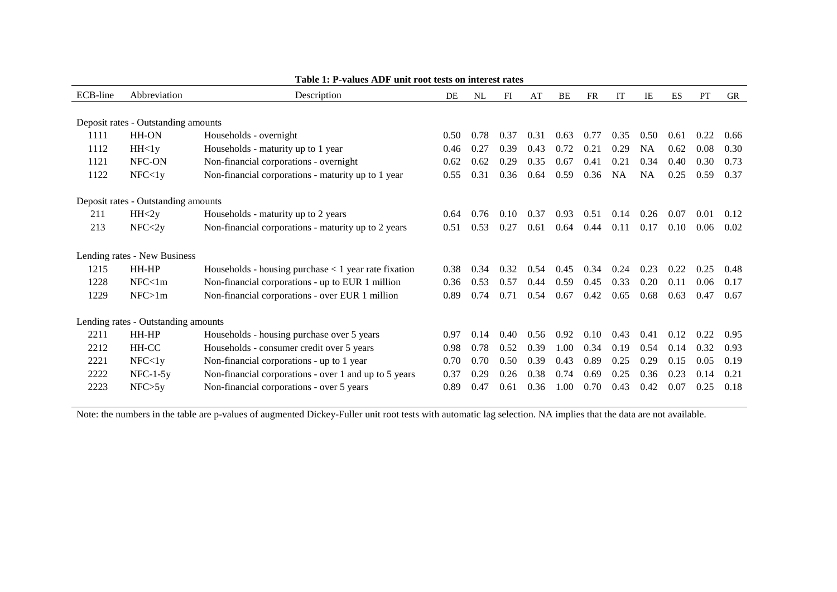| ECB-line | Abbreviation                        | Description                                            | DE   | NL   | FI   | AT   | BE   | <b>FR</b> | IT   | IE        | ES   | PT   | <b>GR</b> |
|----------|-------------------------------------|--------------------------------------------------------|------|------|------|------|------|-----------|------|-----------|------|------|-----------|
|          |                                     |                                                        |      |      |      |      |      |           |      |           |      |      |           |
|          | Deposit rates - Outstanding amounts |                                                        |      |      |      |      |      |           |      |           |      |      |           |
| 1111     | <b>HH-ON</b>                        | Households - overnight                                 | 0.50 | 0.78 | 0.37 | 0.31 | 0.63 | 0.77      | 0.35 | 0.50      | 0.61 | 0.22 | 0.66      |
| 1112     | HH <sub>1y</sub>                    | Households - maturity up to 1 year                     | 0.46 | 0.27 | 0.39 | 0.43 | 0.72 | 0.21      | 0.29 | <b>NA</b> | 0.62 | 0.08 | 0.30      |
| 1121     | NFC-ON                              | Non-financial corporations - overnight                 | 0.62 | 0.62 | 0.29 | 0.35 | 0.67 | 0.41      | 0.21 | 0.34      | 0.40 | 0.30 | 0.73      |
| 1122     | NFC < 1y                            | Non-financial corporations - maturity up to 1 year     | 0.55 | 0.31 | 0.36 | 0.64 | 0.59 | 0.36      | NA   | <b>NA</b> | 0.25 | 0.59 | 0.37      |
|          | Deposit rates - Outstanding amounts |                                                        |      |      |      |      |      |           |      |           |      |      |           |
| 211      | HH < 2y                             | Households - maturity up to 2 years                    | 0.64 | 0.76 | 0.10 | 0.37 | 0.93 | 0.51      | 0.14 | 0.26      | 0.07 | 0.01 | 0.12      |
| 213      | NFC < 2y                            | Non-financial corporations - maturity up to 2 years    | 0.51 | 0.53 | 0.27 | 0.61 | 0.64 | 0.44      | 0.11 | 0.17      | 0.10 | 0.06 | 0.02      |
|          |                                     |                                                        |      |      |      |      |      |           |      |           |      |      |           |
|          | Lending rates - New Business        |                                                        |      |      |      |      |      |           |      |           |      |      |           |
| 1215     | HH-HP                               | Households - housing purchase $<$ 1 year rate fixation | 0.38 | 0.34 | 0.32 | 0.54 | 0.45 | 0.34      | 0.24 | 0.23      | 0.22 | 0.25 | 0.48      |
| 1228     | NFC<1m                              | Non-financial corporations - up to EUR 1 million       | 0.36 | 0.53 | 0.57 | 0.44 | 0.59 | 0.45      | 0.33 | 0.20      | 0.11 | 0.06 | 0.17      |
| 1229     | NFC>1m                              | Non-financial corporations - over EUR 1 million        | 0.89 | 0.74 | 0.71 | 0.54 | 0.67 | 0.42      | 0.65 | 0.68      | 0.63 | 0.47 | 0.67      |
|          | Lending rates - Outstanding amounts |                                                        |      |      |      |      |      |           |      |           |      |      |           |
| 2211     | HH-HP                               | Households - housing purchase over 5 years             | 0.97 | 0.14 | 0.40 | 0.56 | 0.92 | 0.10      | 0.43 | 0.41      | 0.12 | 0.22 | 0.95      |
| 2212     | HH-CC                               | Households - consumer credit over 5 years              | 0.98 | 0.78 | 0.52 | 0.39 | 1.00 | 0.34      | 0.19 | 0.54      | 0.14 | 0.32 | 0.93      |
| 2221     | NFC < 1y                            | Non-financial corporations - up to 1 year              | 0.70 | 0.70 | 0.50 | 0.39 | 0.43 | 0.89      | 0.25 | 0.29      | 0.15 | 0.05 | 0.19      |
| 2222     | $NFC-1-5y$                          | Non-financial corporations - over 1 and up to 5 years  | 0.37 | 0.29 | 0.26 | 0.38 | 0.74 | 0.69      | 0.25 | 0.36      | 0.23 | 0.14 | 0.21      |
| 2223     | NFC > 5y                            | Non-financial corporations - over 5 years              | 0.89 | 0.47 | 0.61 | 0.36 | 1.00 | 0.70      | 0.43 | 0.42      | 0.07 | 0.25 | 0.18      |
|          |                                     |                                                        |      |      |      |      |      |           |      |           |      |      |           |

## **Table 1: P-values ADF unit root tests on interest rates**

Note: the numbers in the table are p-values of augmented Dickey-Fuller unit root tests with automatic lag selection. NA implies that the data are not available.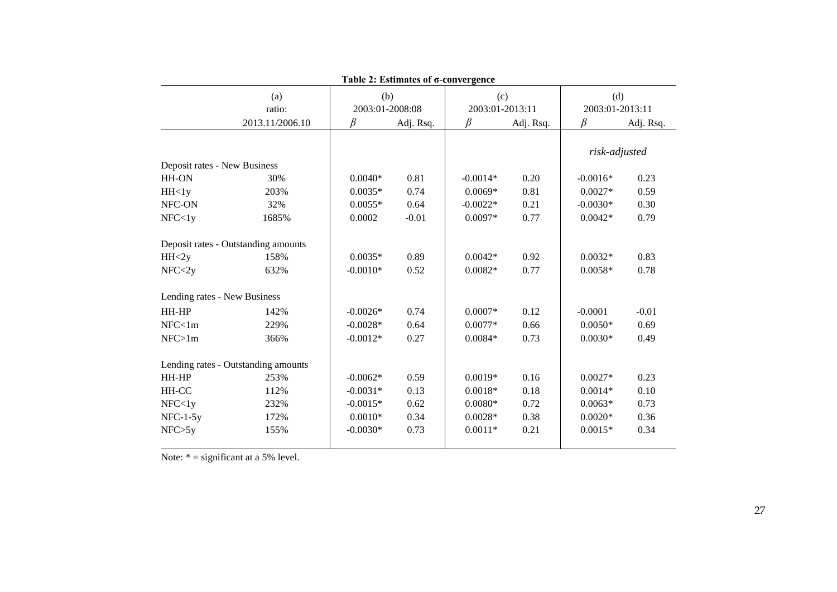| Table 2: Estimates of $\sigma$ -convergence |                                     |                 |           |                 |           |                 |           |  |  |  |  |  |  |
|---------------------------------------------|-------------------------------------|-----------------|-----------|-----------------|-----------|-----------------|-----------|--|--|--|--|--|--|
|                                             | (a)                                 | (b)             |           | (c)             |           | (d)             |           |  |  |  |  |  |  |
|                                             | ratio:                              | 2003:01-2008:08 |           | 2003:01-2013:11 |           | 2003:01-2013:11 |           |  |  |  |  |  |  |
|                                             | 2013.11/2006.10                     | R               | Adj. Rsq. | ß               | Adj. Rsq. | ß               | Adj. Rsq. |  |  |  |  |  |  |
| Deposit rates - New Business                |                                     |                 |           |                 |           | risk-adjusted   |           |  |  |  |  |  |  |
| HH-ON                                       | 30%                                 | $0.0040*$       | 0.81      | $-0.0014*$      | 0.20      | $-0.0016*$      | 0.23      |  |  |  |  |  |  |
| HH <sub>1y</sub>                            | 203%                                | $0.0035*$       | 0.74      | $0.0069*$       | 0.81      | $0.0027*$       | 0.59      |  |  |  |  |  |  |
| NFC-ON                                      | 32%                                 | $0.0055*$       | 0.64      | $-0.0022*$      | 0.21      | $-0.0030*$      | 0.30      |  |  |  |  |  |  |
| NFC < 1y                                    | 1685%                               | 0.0002          | $-0.01$   | $0.0097*$       | 0.77      | $0.0042*$       | 0.79      |  |  |  |  |  |  |
|                                             |                                     |                 |           |                 |           |                 |           |  |  |  |  |  |  |
|                                             | Deposit rates - Outstanding amounts |                 |           |                 |           |                 |           |  |  |  |  |  |  |
| HH < 2y                                     | 158%                                | $0.0035*$       | 0.89      | $0.0042*$       | 0.92      | $0.0032*$       | 0.83      |  |  |  |  |  |  |
| NFC < 2y                                    | 632%                                | $-0.0010*$      | 0.52      | $0.0082*$       | 0.77      | $0.0058*$       | 0.78      |  |  |  |  |  |  |
| Lending rates - New Business                |                                     |                 |           |                 |           |                 |           |  |  |  |  |  |  |
| HH-HP                                       | 142%                                | $-0.0026*$      | 0.74      | $0.0007*$       | 0.12      | $-0.0001$       | $-0.01$   |  |  |  |  |  |  |
| NFC<1m                                      | 229%                                | $-0.0028*$      | 0.64      | $0.0077*$       | 0.66      | $0.0050*$       | 0.69      |  |  |  |  |  |  |
| NFC>1m                                      | 366%                                | $-0.0012*$      | 0.27      | $0.0084*$       | 0.73      | $0.0030*$       | 0.49      |  |  |  |  |  |  |
|                                             | Lending rates - Outstanding amounts |                 |           |                 |           |                 |           |  |  |  |  |  |  |
| HH-HP                                       | 253%                                | $-0.0062*$      | 0.59      | $0.0019*$       | 0.16      | $0.0027*$       | 0.23      |  |  |  |  |  |  |
| HH-CC                                       | 112%                                | $-0.0031*$      | 0.13      | $0.0018*$       | 0.18      | $0.0014*$       | 0.10      |  |  |  |  |  |  |
| NFC < 1y                                    | 232%                                | $-0.0015*$      | 0.62      | $0.0080*$       | 0.72      | $0.0063*$       | 0.73      |  |  |  |  |  |  |
| $NFC-1-5y$                                  | 172%                                | $0.0010*$       | 0.34      | $0.0028*$       | 0.38      | $0.0020*$       | 0.36      |  |  |  |  |  |  |
| NFC > 5y                                    | 155%                                | $-0.0030*$      | 0.73      | $0.0011*$       | 0.21      | $0.0015*$       | 0.34      |  |  |  |  |  |  |
|                                             |                                     |                 |           |                 |           |                 |           |  |  |  |  |  |  |

Note:  $* =$  significant at a 5% level.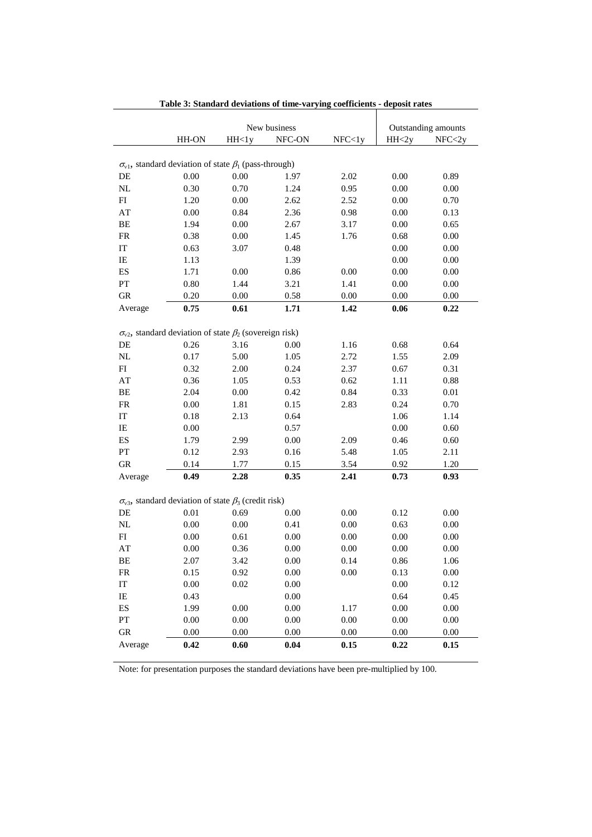|                                                                        |          | Outstanding amounts |              |          |                  |          |
|------------------------------------------------------------------------|----------|---------------------|--------------|----------|------------------|----------|
|                                                                        |          |                     | New business |          |                  |          |
|                                                                        | HH-ON    | HH<1y               | NFC-ON       | NFC < 1y | HH <sub>2y</sub> | NFC < 2y |
|                                                                        |          |                     |              |          |                  |          |
| $\sigma_{v1}$ , standard deviation of state $\beta_1$ (pass-through)   |          |                     |              |          |                  |          |
| DE                                                                     | 0.00     | 0.00                | 1.97         | 2.02     | 0.00             | 0.89     |
| $\rm NL$                                                               | 0.30     | 0.70                | 1.24         | 0.95     | 0.00             | 0.00     |
| FI                                                                     | 1.20     | 0.00                | 2.62         | 2.52     | 0.00             | 0.70     |
| AT                                                                     | 0.00     | 0.84                | 2.36         | 0.98     | 0.00             | 0.13     |
| BE                                                                     | 1.94     | 0.00                | 2.67         | 3.17     | 0.00             | 0.65     |
| FR                                                                     | 0.38     | 0.00                | 1.45         | 1.76     | 0.68             | 0.00     |
| IT                                                                     | 0.63     | 3.07                | 0.48         |          | 0.00             | 0.00     |
| IE                                                                     | 1.13     |                     | 1.39         |          | 0.00             | 0.00     |
| ES                                                                     | 1.71     | 0.00                | 0.86         | 0.00     | 0.00             | 0.00     |
| ${\cal PT}$                                                            | 0.80     | 1.44                | 3.21         | 1.41     | 0.00             | 0.00     |
| ${\rm GR}$                                                             | 0.20     | 0.00                | 0.58         | 0.00     | 0.00             | 0.00     |
| Average                                                                | 0.75     | 0.61                | 1.71         | 1.42     | 0.06             | 0.22     |
|                                                                        |          |                     |              |          |                  |          |
| $\sigma_{v2}$ , standard deviation of state $\beta_2$ (sovereign risk) |          |                     |              |          |                  |          |
| DE                                                                     | 0.26     | 3.16                | 0.00         | 1.16     | 0.68             | 0.64     |
| $\rm NL$                                                               | 0.17     | 5.00                | 1.05         | 2.72     | 1.55             | 2.09     |
| ${\rm FI}$                                                             | 0.32     | 2.00                | 0.24         | 2.37     | 0.67             | 0.31     |
| $\mathbf{A}\mathbf{T}$                                                 | 0.36     | 1.05                | 0.53         | 0.62     | 1.11             | 0.88     |
| $\rm BE$                                                               | 2.04     | 0.00                | 0.42         | 0.84     | 0.33             | $0.01\,$ |
| ${\rm FR}$                                                             | 0.00     | 1.81                | 0.15         | 2.83     | 0.24             | 0.70     |
| IT                                                                     | 0.18     | 2.13                | 0.64         |          | 1.06             | 1.14     |
| IE                                                                     | 0.00     |                     | 0.57         |          | 0.00             | 0.60     |
| ES                                                                     | 1.79     | 2.99                | $0.00\,$     | 2.09     | 0.46             | 0.60     |
| ${\cal PT}$                                                            | 0.12     | 2.93                | 0.16         | 5.48     | 1.05             | 2.11     |
| ${\rm GR}$                                                             | 0.14     | 1.77                | 0.15         | 3.54     | 0.92             | 1.20     |
| Average                                                                | 0.49     | 2.28                | 0.35         | 2.41     | 0.73             | 0.93     |
|                                                                        |          |                     |              |          |                  |          |
| $\sigma_{v3}$ , standard deviation of state $\beta_3$ (credit risk)    |          |                     |              |          |                  |          |
| DE                                                                     | 0.01     | 0.69                | 0.00         | $0.00\,$ | 0.12             | 0.00     |
| NL                                                                     | $0.00\,$ | 0.00                | 0.41         | $0.00\,$ | 0.63             | 0.00     |
| FI                                                                     | 0.00     | 0.61                | $0.00\,$     | $0.00\,$ | 0.00             | $0.00\,$ |
| AT                                                                     | 0.00     | 0.36                | 0.00         | 0.00     | 0.00             | 0.00     |
| BЕ                                                                     | 2.07     | 3.42                | 0.00         | 0.14     | 0.86             | 1.06     |
| FR                                                                     | 0.15     | 0.92                | $0.00\,$     | 0.00     | 0.13             | 0.00     |
| IT                                                                     | $0.00\,$ | 0.02                | $0.00\,$     |          | $0.00\,$         | 0.12     |
| IE                                                                     | 0.43     |                     | $0.00\,$     |          | 0.64             | 0.45     |
|                                                                        | 1.99     | 0.00                |              |          |                  |          |
| ES                                                                     |          |                     | $0.00\,$     | 1.17     | 0.00             | 0.00     |
| ${\cal PT}$                                                            | $0.00\,$ | $0.00\,$            | $0.00\,$     | $0.00\,$ | 0.00             | 0.00     |
| GR                                                                     | $0.00\,$ | 0.00                | $0.00\,$     | $0.00\,$ | 0.00             | 0.00     |
| Average                                                                | 0.42     | 0.60                | 0.04         | 0.15     | 0.22             | 0.15     |

**Table 3: Standard deviations of time-varying coefficients - deposit rates**

Note: for presentation purposes the standard deviations have been pre-multiplied by 100.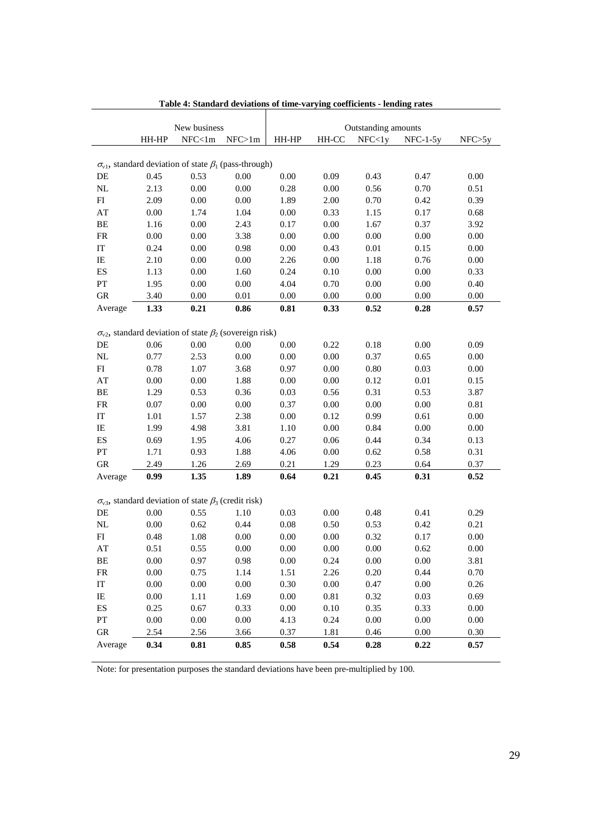|                            |          | New business                                                           |          | Outstanding amounts |          |          |            |          |  |  |  |  |
|----------------------------|----------|------------------------------------------------------------------------|----------|---------------------|----------|----------|------------|----------|--|--|--|--|
|                            | HH-HP    | NFC<1m                                                                 | NFC>1m   | HH-HP               | HH-CC    | NFC < 1y | $NFC-1-5y$ | NFC > 5v |  |  |  |  |
|                            |          |                                                                        |          |                     |          |          |            |          |  |  |  |  |
|                            |          | $\sigma_{v1}$ , standard deviation of state $\beta_1$ (pass-through)   |          |                     |          |          |            |          |  |  |  |  |
| DE                         | 0.45     | 0.53                                                                   | 0.00     | 0.00                | 0.09     | 0.43     | 0.47       | $0.00\,$ |  |  |  |  |
| $\rm NL$                   | 2.13     | 0.00                                                                   | 0.00     | 0.28                | 0.00     | 0.56     | 0.70       | 0.51     |  |  |  |  |
| FI                         | 2.09     | 0.00                                                                   | 0.00     | 1.89                | 2.00     | 0.70     | 0.42       | 0.39     |  |  |  |  |
| $\mathbf{A}\mathbf{T}$     | 0.00     | 1.74                                                                   | 1.04     | 0.00                | 0.33     | 1.15     | 0.17       | 0.68     |  |  |  |  |
| $\rm BE$                   | 1.16     | 0.00                                                                   | 2.43     | 0.17                | 0.00     | 1.67     | 0.37       | 3.92     |  |  |  |  |
| ${\sf FR}$                 | 0.00     | 0.00                                                                   | 3.38     | 0.00                | 0.00     | 0.00     | 0.00       | 0.00     |  |  |  |  |
| $\ensuremath{\mathsf{IT}}$ | 0.24     | 0.00                                                                   | 0.98     | 0.00                | 0.43     | 0.01     | 0.15       | 0.00     |  |  |  |  |
| $\rm IE$                   | 2.10     | 0.00                                                                   | 0.00     | 2.26                | 0.00     | 1.18     | 0.76       | 0.00     |  |  |  |  |
| ${\rm ES}$                 | 1.13     | 0.00                                                                   | 1.60     | 0.24                | 0.10     | 0.00     | 0.00       | 0.33     |  |  |  |  |
| PT                         | 1.95     | 0.00                                                                   | 0.00     | 4.04                | 0.70     | 0.00     | 0.00       | 0.40     |  |  |  |  |
| ${\rm GR}$                 | 3.40     | 0.00                                                                   | 0.01     | 0.00                | 0.00     | 0.00     | 0.00       | 0.00     |  |  |  |  |
| Average                    | 1.33     | 0.21                                                                   | 0.86     | $\bf 0.81$          | 0.33     | 0.52     | 0.28       | 0.57     |  |  |  |  |
|                            |          |                                                                        |          |                     |          |          |            |          |  |  |  |  |
|                            |          | $\sigma_{v2}$ , standard deviation of state $\beta_2$ (sovereign risk) |          |                     |          |          |            |          |  |  |  |  |
| DE                         | 0.06     | 0.00                                                                   | 0.00     | 0.00                | 0.22     | 0.18     | 0.00       | 0.09     |  |  |  |  |
| $\rm NL$                   | 0.77     | 2.53                                                                   | $0.00\,$ | $0.00\,$            | $0.00\,$ | 0.37     | 0.65       | 0.00     |  |  |  |  |
| ${\rm FI}$                 | 0.78     | 1.07                                                                   | 3.68     | 0.97                | 0.00     | $0.80\,$ | 0.03       | $0.00\,$ |  |  |  |  |
| $\mathbf{A}\mathbf{T}$     | 0.00     | $0.00\,$                                                               | 1.88     | $0.00\,$            | $0.00\,$ | 0.12     | 0.01       | 0.15     |  |  |  |  |
| $\rm BE$                   | 1.29     | 0.53                                                                   | 0.36     | 0.03                | 0.56     | 0.31     | 0.53       | 3.87     |  |  |  |  |
| ${\rm FR}$                 | 0.07     | $0.00\,$                                                               | $0.00\,$ | 0.37                | $0.00\,$ | $0.00\,$ | $0.00\,$   | 0.81     |  |  |  |  |
| $\ensuremath{\mathsf{IT}}$ | 1.01     | 1.57                                                                   | 2.38     | $0.00\,$            | 0.12     | 0.99     | 0.61       | 0.00     |  |  |  |  |
| $\rm IE$                   | 1.99     | 4.98                                                                   | 3.81     | 1.10                | $0.00\,$ | 0.84     | 0.00       | $0.00\,$ |  |  |  |  |
| $\mathop{\hbox{\rm ES}}$   | 0.69     | 1.95                                                                   | 4.06     | 0.27                | 0.06     | 0.44     | 0.34       | 0.13     |  |  |  |  |
| ${\cal PT}$                | 1.71     | 0.93                                                                   | 1.88     | 4.06                | $0.00\,$ | 0.62     | 0.58       | 0.31     |  |  |  |  |
| ${\rm GR}$                 | 2.49     | 1.26                                                                   | 2.69     | 0.21                | 1.29     | 0.23     | 0.64       | 0.37     |  |  |  |  |
| Average                    | 0.99     | 1.35                                                                   | 1.89     | 0.64                | 0.21     | 0.45     | 0.31       | 0.52     |  |  |  |  |
|                            |          |                                                                        |          |                     |          |          |            |          |  |  |  |  |
|                            |          | $\sigma_{v3}$ , standard deviation of state $\beta_3$ (credit risk)    |          |                     |          |          |            |          |  |  |  |  |
| DE                         | 0.00     | 0.55                                                                   | 1.10     | 0.03                | $0.00\,$ | 0.48     | 0.41       | 0.29     |  |  |  |  |
| $\rm NL$                   | $0.00\,$ | 0.62                                                                   | 0.44     | $0.08\,$            | 0.50     | 0.53     | 0.42       | 0.21     |  |  |  |  |
| FI                         | 0.48     | 1.08                                                                   | $0.00\,$ | $0.00\,$            | $0.00\,$ | 0.32     | 0.17       | 0.00     |  |  |  |  |
| AT                         | 0.51     | 0.55                                                                   | 0.00     | 0.00                | 0.00     | 0.00     | 0.62       | 0.00     |  |  |  |  |
| BЕ                         | $0.00\,$ | 0.97                                                                   | 0.98     | $0.00\,$            | 0.24     | 0.00     | $0.00\,$   | 3.81     |  |  |  |  |
| ${\sf FR}$                 | $0.00\,$ | 0.75                                                                   | 1.14     | 1.51                | 2.26     | 0.20     | 0.44       | $0.70\,$ |  |  |  |  |
| $\ensuremath{\mathsf{IT}}$ | $0.00\,$ | $0.00\,$                                                               | $0.00\,$ | 0.30                | $0.00\,$ | 0.47     | $0.00\,$   | 0.26     |  |  |  |  |
| IE                         | $0.00\,$ | 1.11                                                                   | 1.69     | $0.00\,$            | $0.81\,$ | 0.32     | 0.03       | 0.69     |  |  |  |  |
| $\mathop{\hbox{\rm ES}}$   | 0.25     | 0.67                                                                   | 0.33     | $0.00\,$            | 0.10     | 0.35     | 0.33       | $0.00\,$ |  |  |  |  |
| ${\cal PT}$                | 0.00     | $0.00\,$                                                               | $0.00\,$ | 4.13                | 0.24     | $0.00\,$ | $0.00\,$   | $0.00\,$ |  |  |  |  |
| ${\rm GR}$                 | 2.54     | 2.56                                                                   | 3.66     | 0.37                | 1.81     | 0.46     | 0.00       | 0.30     |  |  |  |  |
| Average                    | 0.34     | 0.81                                                                   | 0.85     | 0.58                | 0.54     | 0.28     | 0.22       | 0.57     |  |  |  |  |

**Table 4: Standard deviations of time-varying coefficients - lending rates**

Note: for presentation purposes the standard deviations have been pre-multiplied by 100.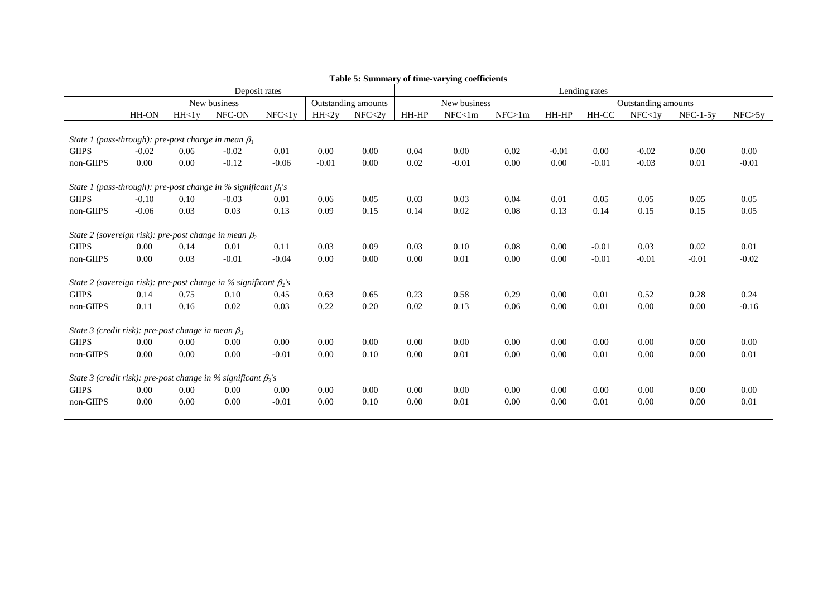|                                                                         | Table 5: Summary of time-varying coefficients |                 |         |               |         |          |               |              |        |                     |         |          |            |          |  |
|-------------------------------------------------------------------------|-----------------------------------------------|-----------------|---------|---------------|---------|----------|---------------|--------------|--------|---------------------|---------|----------|------------|----------|--|
|                                                                         |                                               |                 |         | Deposit rates |         |          | Lending rates |              |        |                     |         |          |            |          |  |
|                                                                         | New business<br>Outstanding amounts           |                 |         |               |         |          |               | New business |        | Outstanding amounts |         |          |            |          |  |
|                                                                         | HH-ON                                         | HH <sub>1</sub> | NFC-ON  | NFC < 1y      | HH < 2v | NFC < 2v | HH-HP         | NFC<1m       | NFC>1m | HH-HP               | HH-CC   | NFC < 1y | $NFC-1-5v$ | NFC > 5y |  |
|                                                                         |                                               |                 |         |               |         |          |               |              |        |                     |         |          |            |          |  |
| State 1 (pass-through): pre-post change in mean $\beta_1$               |                                               |                 |         |               |         |          |               |              |        |                     |         |          |            |          |  |
| <b>GIIPS</b>                                                            | $-0.02$                                       | 0.06            | $-0.02$ | 0.01          | 0.00    | 0.00     | 0.04          | 0.00         | 0.02   | $-0.01$             | 0.00    | $-0.02$  | 0.00       | 0.00     |  |
| non-GIIPS                                                               | 0.00                                          | 0.00            | $-0.12$ | $-0.06$       | $-0.01$ | 0.00     | 0.02          | $-0.01$      | 0.00   | 0.00                | $-0.01$ | $-0.03$  | 0.01       | $-0.01$  |  |
| State 1 (pass-through): pre-post change in % significant $\beta_1$ 's   |                                               |                 |         |               |         |          |               |              |        |                     |         |          |            |          |  |
| <b>GIIPS</b>                                                            | $-0.10$                                       | 0.10            | $-0.03$ | 0.01          | 0.06    | 0.05     | 0.03          | 0.03         | 0.04   | 0.01                | 0.05    | 0.05     | 0.05       | 0.05     |  |
| non-GIIPS                                                               | $-0.06$                                       | 0.03            | 0.03    | 0.13          | 0.09    | 0.15     | 0.14          | 0.02         | 0.08   | 0.13                | 0.14    | 0.15     | 0.15       | 0.05     |  |
| State 2 (sovereign risk): pre-post change in mean $\beta_2$             |                                               |                 |         |               |         |          |               |              |        |                     |         |          |            |          |  |
| <b>GIIPS</b>                                                            | 0.00                                          | 0.14            | 0.01    | 0.11          | 0.03    | 0.09     | 0.03          | 0.10         | 0.08   | 0.00                | $-0.01$ | 0.03     | 0.02       | 0.01     |  |
| non-GIIPS                                                               | 0.00                                          | 0.03            | $-0.01$ | $-0.04$       | 0.00    | 0.00     | 0.00          | 0.01         | 0.00   | 0.00                | $-0.01$ | $-0.01$  | $-0.01$    | $-0.02$  |  |
| State 2 (sovereign risk): pre-post change in % significant $\beta_2$ 's |                                               |                 |         |               |         |          |               |              |        |                     |         |          |            |          |  |
| <b>GIIPS</b>                                                            | 0.14                                          | 0.75            | 0.10    | 0.45          | 0.63    | 0.65     | 0.23          | 0.58         | 0.29   | 0.00                | 0.01    | 0.52     | 0.28       | 0.24     |  |
| non-GIIPS                                                               | 0.11                                          | 0.16            | 0.02    | 0.03          | 0.22    | 0.20     | 0.02          | 0.13         | 0.06   | 0.00                | 0.01    | 0.00     | 0.00       | $-0.16$  |  |
| State 3 (credit risk): pre-post change in mean $\beta_3$                |                                               |                 |         |               |         |          |               |              |        |                     |         |          |            |          |  |
| <b>GIIPS</b>                                                            | 0.00                                          | 0.00            | 0.00    | 0.00          | 0.00    | 0.00     | 0.00          | 0.00         | 0.00   | 0.00                | 0.00    | 0.00     | 0.00       | 0.00     |  |
| non-GIIPS                                                               | 0.00                                          | 0.00            | 0.00    | $-0.01$       | 0.00    | 0.10     | 0.00          | 0.01         | 0.00   | 0.00                | 0.01    | 0.00     | 0.00       | 0.01     |  |
| State 3 (credit risk): pre-post change in % significant $\beta_3$ 's    |                                               |                 |         |               |         |          |               |              |        |                     |         |          |            |          |  |
| <b>GIIPS</b>                                                            | 0.00                                          | 0.00            | 0.00    | 0.00          | 0.00    | 0.00     | 0.00          | 0.00         | 0.00   | 0.00                | 0.00    | 0.00     | 0.00       | 0.00     |  |
| non-GIIPS                                                               | 0.00                                          | 0.00            | 0.00    | $-0.01$       | 0.00    | 0.10     | 0.00          | 0.01         | 0.00   | 0.00                | 0.01    | 0.00     | 0.00       | 0.01     |  |
|                                                                         |                                               |                 |         |               |         |          |               |              |        |                     |         |          |            |          |  |